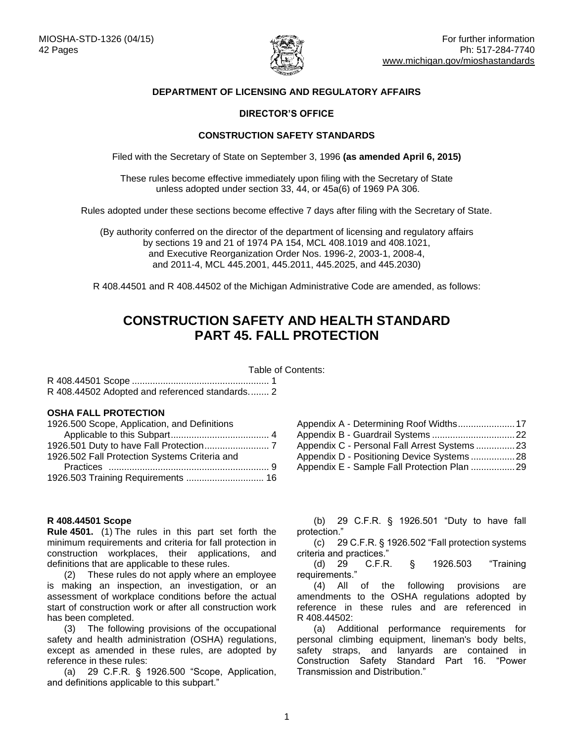

#### **DEPARTMENT OF LICENSING AND REGULATORY AFFAIRS**

#### **DIRECTOR'S OFFICE**

#### **CONSTRUCTION SAFETY STANDARDS**

Filed with the Secretary of State on September 3, 1996 **(as amended April 6, 2015)**

These rules become effective immediately upon filing with the Secretary of State unless adopted under section 33, 44, or 45a(6) of 1969 PA 306.

Rules adopted under these sections become effective 7 days after filing with the Secretary of State.

(By authority conferred on the director of the department of licensing and regulatory affairs by sections 19 and 21 of 1974 PA 154, MCL 408.1019 and 408.1021, and Executive Reorganization Order Nos. 1996-2, 2003-1, 2008-4, and 2011-4, MCL 445.2001, 445.2011, 445.2025, and 445.2030)

R 408.44501 and R 408.44502 of the Michigan Administrative Code are amended, as follows:

# **CONSTRUCTION SAFETY AND HEALTH STANDARD PART 45. FALL PROTECTION**

Table of Contents:

|  | R 408.44502 Adopted and referenced standards 2 |  |
|--|------------------------------------------------|--|

#### **OSHA FALL PROTECTION**

| 1926.500 Scope, Application, and Definitions  |
|-----------------------------------------------|
|                                               |
|                                               |
| 1926.502 Fall Protection Systems Criteria and |
|                                               |
| 1926.503 Training Requirements  16            |

#### <span id="page-0-0"></span>**R 408.44501 Scope**

**Rule 4501.** (1) The rules in this part set forth the minimum requirements and criteria for fall protection in construction workplaces, their applications, and definitions that are applicable to these rules.

(2) These rules do not apply where an employee is making an inspection, an investigation, or an assessment of workplace conditions before the actual start of construction work or after all construction work has been completed.

(3) The following provisions of the occupational safety and health administration (OSHA) regulations, except as amended in these rules, are adopted by reference in these rules:

(a) 29 C.F.R. § 1926.500 "Scope, Application, and definitions applicable to this subpart."

| Appendix A - Determining Roof Widths 17      |  |
|----------------------------------------------|--|
|                                              |  |
| Appendix C - Personal Fall Arrest Systems 23 |  |
| Appendix D - Positioning Device Systems  28  |  |
| Appendix E - Sample Fall Protection Plan 29  |  |

(b) 29 C.F.R. § 1926.501 "Duty to have fall protection."

(c) 29 C.F.R. § 1926.502 "Fall protection systems criteria and practices."

(d) 29 C.F.R. § 1926.503 "Training requirements."

(4) All of the following provisions are amendments to the OSHA regulations adopted by reference in these rules and are referenced in R 408.44502:

(a) Additional performance requirements for personal climbing equipment, lineman's body belts, safety straps, and lanyards are contained in Construction Safety Standard Part 16. "Power Transmission and Distribution."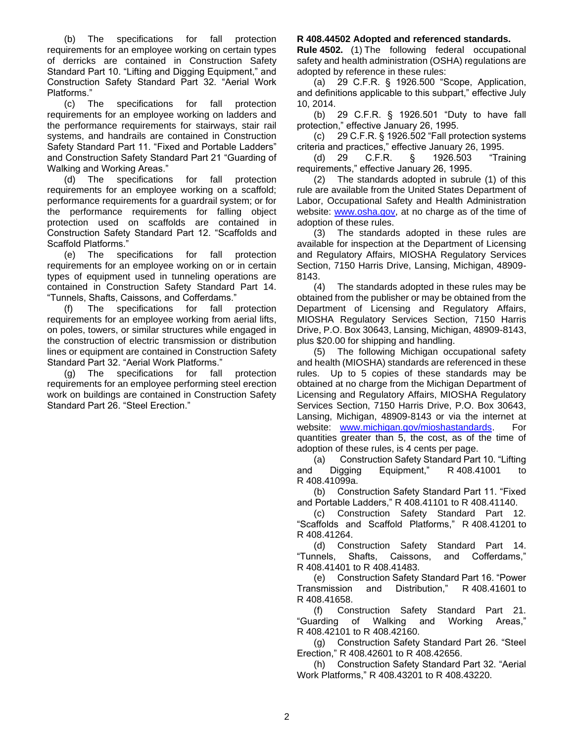(b) The specifications for fall protection requirements for an employee working on certain types of derricks are contained in Construction Safety Standard Part 10. "Lifting and Digging Equipment," and Construction Safety Standard Part 32. "Aerial Work Platforms."

(c) The specifications for fall protection requirements for an employee working on ladders and the performance requirements for stairways, stair rail systems, and handrails are contained in Construction Safety Standard Part 11. "Fixed and Portable Ladders" and Construction Safety Standard Part 21 "Guarding of Walking and Working Areas."

(d) The specifications for fall protection requirements for an employee working on a scaffold; performance requirements for a guardrail system; or for the performance requirements for falling object protection used on scaffolds are contained in Construction Safety Standard Part 12. "Scaffolds and Scaffold Platforms."

(e) The specifications for fall protection requirements for an employee working on or in certain types of equipment used in tunneling operations are contained in Construction Safety Standard Part 14. "Tunnels, Shafts, Caissons, and Cofferdams."

(f) The specifications for fall protection requirements for an employee working from aerial lifts, on poles, towers, or similar structures while engaged in the construction of electric transmission or distribution lines or equipment are contained in Construction Safety Standard Part 32. "Aerial Work Platforms."

<span id="page-1-0"></span>(g) The specifications for fall protection requirements for an employee performing steel erection work on buildings are contained in Construction Safety Standard Part 26. "Steel Erection."

#### **R 408.44502 Adopted and referenced standards.**

**Rule 4502.** (1) The following federal occupational safety and health administration (OSHA) regulations are adopted by reference in these rules:

(a) 29 C.F.R. § 1926.500 "Scope, Application, and definitions applicable to this subpart," effective July 10, 2014.

(b) 29 C.F.R. § 1926.501 "Duty to have fall protection," effective January 26, 1995.

(c) 29 C.F.R. § 1926.502 "Fall protection systems criteria and practices," effective January 26, 1995.

(d) 29 C.F.R. § 1926.503 "Training requirements," effective January 26, 1995.

(2) The standards adopted in subrule (1) of this rule are available from the United States Department of Labor, Occupational Safety and Health Administration website: [www.osha.gov,](http://www.osha.gov/) at no charge as of the time of adoption of these rules.

(3) The standards adopted in these rules are available for inspection at the Department of Licensing and Regulatory Affairs, MIOSHA Regulatory Services Section, 7150 Harris Drive, Lansing, Michigan, 48909- 8143.

(4) The standards adopted in these rules may be obtained from the publisher or may be obtained from the Department of Licensing and Regulatory Affairs, MIOSHA Regulatory Services Section, 7150 Harris Drive, P.O. Box 30643, Lansing, Michigan, 48909-8143, plus \$20.00 for shipping and handling.

(5) The following Michigan occupational safety and health (MIOSHA) standards are referenced in these rules. Up to 5 copies of these standards may be obtained at no charge from the Michigan Department of Licensing and Regulatory Affairs, MIOSHA Regulatory Services Section, 7150 Harris Drive, P.O. Box 30643, Lansing, Michigan, 48909-8143 or via the internet at website: [www.michigan.gov/mioshastandards.](http://www.michigan.gov/mioshastandards) For quantities greater than 5, the cost, as of the time of adoption of these rules, is 4 cents per page.

(a) Construction Safety Standard Part 10. "Lifting and Digging Equipment," R 408.41001 to R 408.41099a.

(b) Construction Safety Standard Part 11. "Fixed and Portable Ladders," R 408.41101 to R 408.41140.

(c) Construction Safety Standard Part 12. "Scaffolds and Scaffold Platforms," R 408.41201 to R 408.41264.

(d) Construction Safety Standard Part 14. "Tunnels, Shafts, Caissons, and Cofferdams," R 408.41401 to R 408.41483.

(e) Construction Safety Standard Part 16. "Power Transmission and Distribution," R 408.41601 to R 408.41658.

(f) Construction Safety Standard Part 21. "Guarding of Walking and Working Areas," R 408.42101 to R 408.42160.

(g) Construction Safety Standard Part 26. "Steel Erection," R 408.42601 to R 408.42656.

(h) Construction Safety Standard Part 32. "Aerial Work Platforms," R 408.43201 to R 408.43220.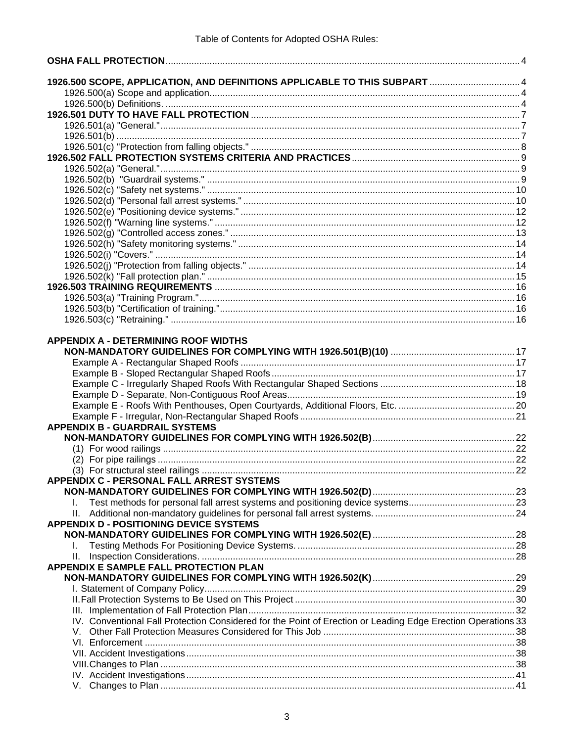| <b>APPENDIX A - DETERMINING ROOF WIDTHS</b>                                                                  |  |
|--------------------------------------------------------------------------------------------------------------|--|
|                                                                                                              |  |
|                                                                                                              |  |
|                                                                                                              |  |
|                                                                                                              |  |
|                                                                                                              |  |
|                                                                                                              |  |
| <b>APPENDIX B - GUARDRAIL SYSTEMS</b>                                                                        |  |
|                                                                                                              |  |
|                                                                                                              |  |
|                                                                                                              |  |
|                                                                                                              |  |
| APPENDIX C - PERSONAL FALL ARREST SYSTEMS                                                                    |  |
|                                                                                                              |  |
|                                                                                                              |  |
| $\mathbf{II}$ .                                                                                              |  |
| <b>APPENDIX D - POSITIONING DEVICE SYSTEMS</b>                                                               |  |
|                                                                                                              |  |
|                                                                                                              |  |
| Ш.                                                                                                           |  |
| APPENDIX E SAMPLE FALL PROTECTION PLAN                                                                       |  |
|                                                                                                              |  |
|                                                                                                              |  |
|                                                                                                              |  |
| IV. Conventional Fall Protection Considered for the Point of Erection or Leading Edge Erection Operations 33 |  |
|                                                                                                              |  |
|                                                                                                              |  |
|                                                                                                              |  |
|                                                                                                              |  |
|                                                                                                              |  |
|                                                                                                              |  |
|                                                                                                              |  |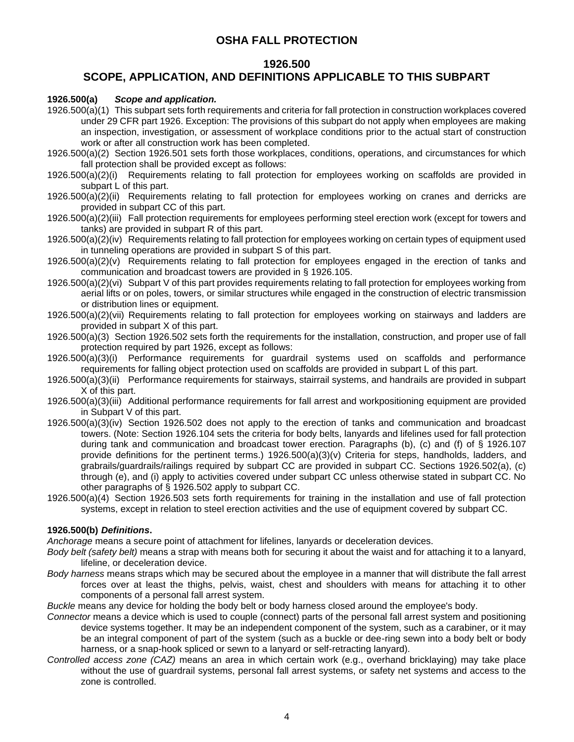# **OSHA FALL PROTECTION**

## <span id="page-3-0"></span>**[1926.500](https://www.osha.gov/pls/oshaweb/owalink.query_links?src_doc_type=STANDARDS&src_unique_file=1926_0500&src_anchor_name=1926.500)**

# <span id="page-3-1"></span>**SCOPE, APPLICATION, AND DEFINITIONS APPLICABLE TO THIS SUBPART**

### <span id="page-3-3"></span><span id="page-3-2"></span>**[1926.500\(a\)](https://www.osha.gov/pls/oshaweb/owalink.query_links?src_doc_type=STANDARDS&src_unique_file=1926_0500&src_anchor_name=1926.500(a))** *Scope and application.*

1926.500(a)(1) This subpart sets forth requirements and criteria for fall protection in construction workplaces covered under 29 CFR part 1926. Exception: The provisions of this subpart do not apply when employees are making an inspection, investigation, or assessment of workplace conditions prior to the actual start of construction work or after all construction work has been completed.

- [1926.500\(a\)\(2\)](https://www.osha.gov/pls/oshaweb/owalink.query_links?src_doc_type=STANDARDS&src_unique_file=1926_0500&src_anchor_name=1926.500(a)(2)) Section 1926.501 sets forth those workplaces, conditions, operations, and circumstances for which fall protection shall be provided except as follows:
- [1926.500\(a\)\(2\)\(i\)](https://www.osha.gov/pls/oshaweb/owalink.query_links?src_doc_type=STANDARDS&src_unique_file=1926_0500&src_anchor_name=1926.500(a)(2)(i)) Requirements relating to fall protection for employees working on scaffolds are provided in subpart L of this part.
- 1926.500(a)(2)(ii) Requirements relating to fall protection for employees working on cranes and derricks are provided in subpart CC of this part.
- 1926.500(a)(2)(iii) Fall protection requirements for employees performing steel erection work (except for towers and tanks) are provided in subpart R of this part.
- 1926.500(a)(2)(iv) Requirements relating to fall protection for employees working on certain types of equipment used in tunneling operations are provided in subpart S of this part.
- 1926.500(a)(2)(v) Requirements relating to fall protection for employees engaged in the erection of tanks and communication and broadcast towers are provided in § 1926.105.
- 1926.500(a)(2)(vi) Subpart V of this part provides requirements relating to fall protection for employees working from aerial lifts or on poles, towers, or similar structures while engaged in the construction of electric transmission or distribution lines or equipment.
- [1926.500\(a\)\(2\)\(vii\)](https://www.osha.gov/pls/oshaweb/owalink.query_links?src_doc_type=STANDARDS&src_unique_file=1926_0500&src_anchor_name=1926.500(a)(2)(vii)) Requirements relating to fall protection for employees working on stairways and ladders are provided in subpart X of this part.
- 1926.500(a)(3) Section 1926.502 sets forth the requirements for the installation, construction, and proper use of fall protection required by part 1926, except as follows:
- 1926.500(a)(3)(i) Performance requirements for guardrail systems used on scaffolds and performance requirements for falling object protection used on scaffolds are provided in subpart L of this part.
- 1926.500(a)(3)(ii) Performance requirements for stairways, stairrail systems, and handrails are provided in subpart X of this part.
- 1926.500(a)(3)(iii) Additional performance requirements for fall arrest and workpositioning equipment are provided in Subpart V of this part.
- 1926.500(a)(3)(iv) Section 1926.502 does not apply to the erection of tanks and communication and broadcast towers. (Note: Section 1926.104 sets the criteria for body belts, lanyards and lifelines used for fall protection during tank and communication and broadcast tower erection. Paragraphs (b), (c) and (f) of § 1926.107 provide definitions for the pertinent terms.) 1926.500(a)(3)(v) Criteria for steps, handholds, ladders, and grabrails/guardrails/railings required by subpart CC are provided in subpart CC. Sections 1926.502(a), (c) through (e), and (i) apply to activities covered under subpart CC unless otherwise stated in subpart CC. No other paragraphs of § 1926.502 apply to subpart CC.
- 1926.500(a)(4) Section 1926.503 sets forth requirements for training in the installation and use of fall protection systems, except in relation to steel erection activities and the use of equipment covered by subpart CC.

#### <span id="page-3-4"></span>**[1926.500\(b\)](https://www.osha.gov/pls/oshaweb/owalink.query_links?src_doc_type=STANDARDS&src_unique_file=1926_0500&src_anchor_name=1926.500(b))** *Definitions***.**

*Anchorage* means a secure point of attachment for lifelines, lanyards or deceleration devices.

- *Body belt (safety belt)* means a strap with means both for securing it about the waist and for attaching it to a lanyard, lifeline, or deceleration device.
- *Body harness* means straps which may be secured about the employee in a manner that will distribute the fall arrest forces over at least the thighs, pelvis, waist, chest and shoulders with means for attaching it to other components of a personal fall arrest system.

*Buckle* means any device for holding the body belt or body harness closed around the employee's body.

- *Connector* means a device which is used to couple (connect) parts of the personal fall arrest system and positioning device systems together. It may be an independent component of the system, such as a carabiner, or it may be an integral component of part of the system (such as a buckle or dee-ring sewn into a body belt or body harness, or a snap-hook spliced or sewn to a lanyard or self-retracting lanyard).
- *Controlled access zone (CAZ)* means an area in which certain work (e.g., overhand bricklaying) may take place without the use of guardrail systems, personal fall arrest systems, or safety net systems and access to the zone is controlled.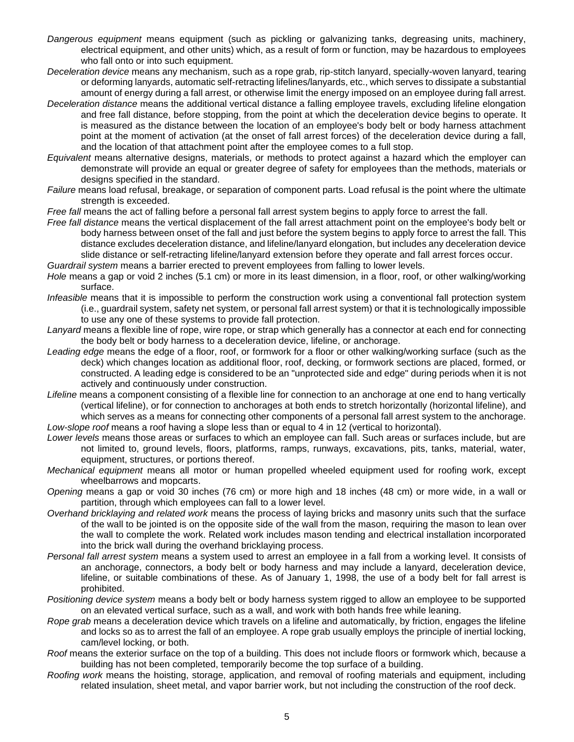- *Dangerous equipment* means equipment (such as pickling or galvanizing tanks, degreasing units, machinery, electrical equipment, and other units) which, as a result of form or function, may be hazardous to employees who fall onto or into such equipment.
- *Deceleration device* means any mechanism, such as a rope grab, rip-stitch lanyard, specially-woven lanyard, tearing or deforming lanyards, automatic self-retracting lifelines/lanyards, etc., which serves to dissipate a substantial amount of energy during a fall arrest, or otherwise limit the energy imposed on an employee during fall arrest.
- *Deceleration distance* means the additional vertical distance a falling employee travels, excluding lifeline elongation and free fall distance, before stopping, from the point at which the deceleration device begins to operate. It is measured as the distance between the location of an employee's body belt or body harness attachment point at the moment of activation (at the onset of fall arrest forces) of the deceleration device during a fall, and the location of that attachment point after the employee comes to a full stop.
- *Equivalent* means alternative designs, materials, or methods to protect against a hazard which the employer can demonstrate will provide an equal or greater degree of safety for employees than the methods, materials or designs specified in the standard.
- *Failure* means load refusal, breakage, or separation of component parts. Load refusal is the point where the ultimate strength is exceeded.
- *Free fall* means the act of falling before a personal fall arrest system begins to apply force to arrest the fall.
- *Free fall distance* means the vertical displacement of the fall arrest attachment point on the employee's body belt or body harness between onset of the fall and just before the system begins to apply force to arrest the fall. This distance excludes deceleration distance, and lifeline/lanyard elongation, but includes any deceleration device slide distance or self-retracting lifeline/lanyard extension before they operate and fall arrest forces occur.
- *Guardrail system* means a barrier erected to prevent employees from falling to lower levels.
- *Hole* means a gap or void 2 inches (5.1 cm) or more in its least dimension, in a floor, roof, or other walking/working surface.
- *Infeasible* means that it is impossible to perform the construction work using a conventional fall protection system (i.e., guardrail system, safety net system, or personal fall arrest system) or that it is technologically impossible to use any one of these systems to provide fall protection.
- Lanyard means a flexible line of rope, wire rope, or strap which generally has a connector at each end for connecting the body belt or body harness to a deceleration device, lifeline, or anchorage.
- *Leading edge* means the edge of a floor, roof, or formwork for a floor or other walking/working surface (such as the deck) which changes location as additional floor, roof, decking, or formwork sections are placed, formed, or constructed. A leading edge is considered to be an "unprotected side and edge" during periods when it is not actively and continuously under construction.
- *Lifeline* means a component consisting of a flexible line for connection to an anchorage at one end to hang vertically (vertical lifeline), or for connection to anchorages at both ends to stretch horizontally (horizontal lifeline), and which serves as a means for connecting other components of a personal fall arrest system to the anchorage. *Low-slope roof* means a roof having a slope less than or equal to 4 in 12 (vertical to horizontal).
- *Lower levels* means those areas or surfaces to which an employee can fall. Such areas or surfaces include, but are not limited to, ground levels, floors, platforms, ramps, runways, excavations, pits, tanks, material, water, equipment, structures, or portions thereof.
- *Mechanical equipment* means all motor or human propelled wheeled equipment used for roofing work, except wheelbarrows and mopcarts.
- *Opening* means a gap or void 30 inches (76 cm) or more high and 18 inches (48 cm) or more wide, in a wall or partition, through which employees can fall to a lower level.
- *Overhand bricklaying and related work* means the process of laying bricks and masonry units such that the surface of the wall to be jointed is on the opposite side of the wall from the mason, requiring the mason to lean over the wall to complete the work. Related work includes mason tending and electrical installation incorporated into the brick wall during the overhand bricklaying process.
- *Personal fall arrest system* means a system used to arrest an employee in a fall from a working level. It consists of an anchorage, connectors, a body belt or body harness and may include a lanyard, deceleration device, lifeline, or suitable combinations of these. As of January 1, 1998, the use of a body belt for fall arrest is prohibited.
- *Positioning device system* means a body belt or body harness system rigged to allow an employee to be supported on an elevated vertical surface, such as a wall, and work with both hands free while leaning.
- *Rope grab* means a deceleration device which travels on a lifeline and automatically, by friction, engages the lifeline and locks so as to arrest the fall of an employee. A rope grab usually employs the principle of inertial locking, cam/level locking, or both.
- *Roof* means the exterior surface on the top of a building. This does not include floors or formwork which, because a building has not been completed, temporarily become the top surface of a building.
- *Roofing work* means the hoisting, storage, application, and removal of roofing materials and equipment, including related insulation, sheet metal, and vapor barrier work, but not including the construction of the roof deck.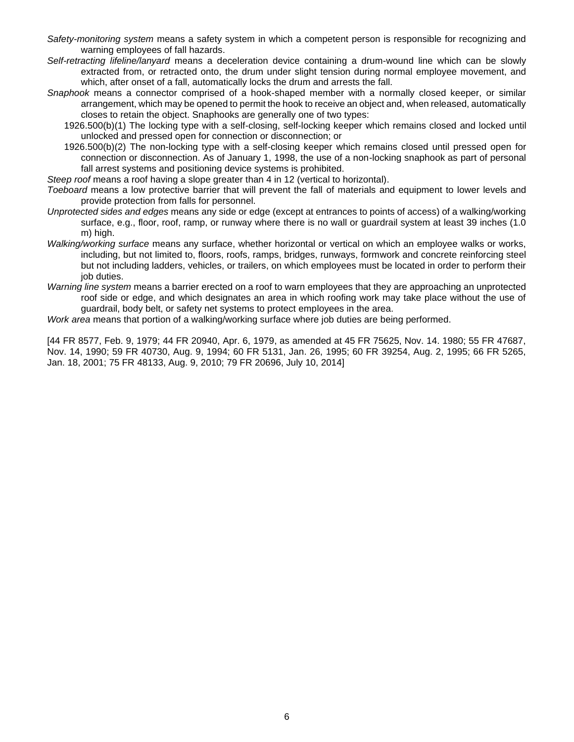- *Safety-monitoring system* means a safety system in which a competent person is responsible for recognizing and warning employees of fall hazards.
- *Self-retracting lifeline/lanyard* means a deceleration device containing a drum-wound line which can be slowly extracted from, or retracted onto, the drum under slight tension during normal employee movement, and which, after onset of a fall, automatically locks the drum and arrests the fall.
- *Snaphook* means a connector comprised of a hook-shaped member with a normally closed keeper, or similar arrangement, which may be opened to permit the hook to receive an object and, when released, automatically closes to retain the object. Snaphooks are generally one of two types:
	- 1926.500(b)(1) The locking type with a self-closing, self-locking keeper which remains closed and locked until unlocked and pressed open for connection or disconnection; or
	- 1926.500(b)(2) The non-locking type with a self-closing keeper which remains closed until pressed open for connection or disconnection. As of January 1, 1998, the use of a non-locking snaphook as part of personal fall arrest systems and positioning device systems is prohibited.

*Steep roof* means a roof having a slope greater than 4 in 12 (vertical to horizontal).

- *Toeboard* means a low protective barrier that will prevent the fall of materials and equipment to lower levels and provide protection from falls for personnel.
- *Unprotected sides and edges* means any side or edge (except at entrances to points of access) of a walking/working surface, e.g., floor, roof, ramp, or runway where there is no wall or guardrail system at least 39 inches (1.0 m) high.
- *Walking/working surface* means any surface, whether horizontal or vertical on which an employee walks or works, including, but not limited to, floors, roofs, ramps, bridges, runways, formwork and concrete reinforcing steel but not including ladders, vehicles, or trailers, on which employees must be located in order to perform their job duties.
- *Warning line system* means a barrier erected on a roof to warn employees that they are approaching an unprotected roof side or edge, and which designates an area in which roofing work may take place without the use of guardrail, body belt, or safety net systems to protect employees in the area.
- *Work area* means that portion of a walking/working surface where job duties are being performed.

[44 FR 8577, Feb. 9, 1979; 44 FR 20940, Apr. 6, 1979, as amended at 45 FR 75625, Nov. 14. 1980; 55 FR 47687, Nov. 14, 1990; 59 FR 40730, Aug. 9, 1994; 60 FR 5131, Jan. 26, 1995; 60 FR 39254, Aug. 2, 1995; 66 FR 5265, Jan. 18, 2001; 75 FR 48133, Aug. 9, 2010; 79 FR 20696, July 10, 2014]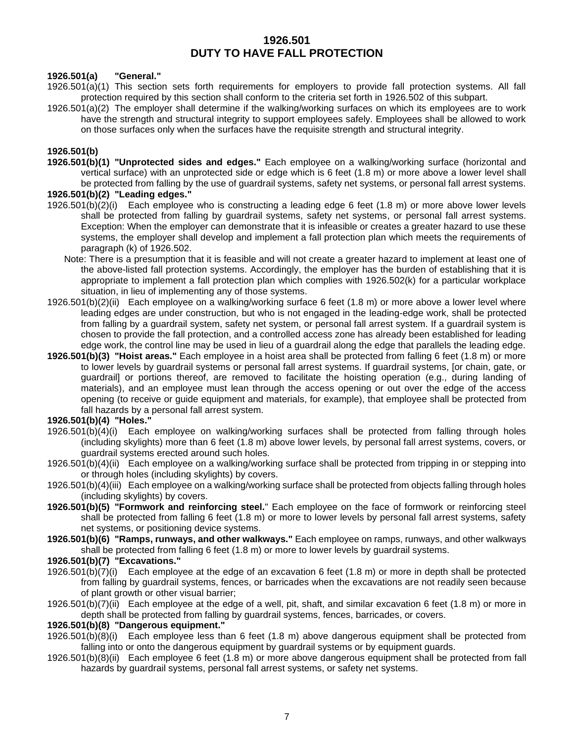## <span id="page-6-0"></span>**[1926.501](https://www.osha.gov/pls/oshaweb/owalink.query_links?src_doc_type=STANDARDS&src_unique_file=1926_0501&src_anchor_name=1926.501) DUTY TO HAVE FALL PROTECTION**

#### <span id="page-6-1"></span>**1926.501(a) "General."**

1926.501(a)(1) This section sets forth requirements for employers to provide fall protection systems. All fall protection required by this section shall conform to the criteria set forth in 1926.502 of this subpart.

[1926.501\(a\)\(2\)](https://www.osha.gov/pls/oshaweb/owalink.query_links?src_doc_type=STANDARDS&src_unique_file=1926_0501&src_anchor_name=1926.501(a)(2)) The employer shall determine if the walking/working surfaces on which its employees are to work have the strength and structural integrity to support employees safely. Employees shall be allowed to work on those surfaces only when the surfaces have the requisite strength and structural integrity.

### <span id="page-6-2"></span>**[1926.501\(b\)](https://www.osha.gov/pls/oshaweb/owalink.query_links?src_doc_type=STANDARDS&src_unique_file=1926_0501&src_anchor_name=1926.501(b))**

**[1926.501\(b\)\(1\)](https://www.osha.gov/pls/oshaweb/owalink.query_links?src_doc_type=STANDARDS&src_unique_file=1926_0501&src_anchor_name=1926.501(b)(1)) "Unprotected sides and edges."** Each employee on a walking/working surface (horizontal and vertical surface) with an unprotected side or edge which is 6 feet (1.8 m) or more above a lower level shall be protected from falling by the use of guardrail systems, safety net systems, or personal fall arrest systems.

#### **[1926.501\(b\)\(2\)](https://www.osha.gov/pls/oshaweb/owalink.query_links?src_doc_type=STANDARDS&src_unique_file=1926_0501&src_anchor_name=1926.501(b)(2)) "Leading edges."**

- [1926.501\(b\)\(2\)\(i\)](https://www.osha.gov/pls/oshaweb/owalink.query_links?src_doc_type=STANDARDS&src_unique_file=1926_0501&src_anchor_name=1926.501(b)(2)(i)) Each employee who is constructing a leading edge 6 feet (1.8 m) or more above lower levels shall be protected from falling by guardrail systems, safety net systems, or personal fall arrest systems. Exception: When the employer can demonstrate that it is infeasible or creates a greater hazard to use these systems, the employer shall develop and implement a fall protection plan which meets the requirements of paragraph (k) of 1926.502.
	- Note: There is a presumption that it is feasible and will not create a greater hazard to implement at least one of the above-listed fall protection systems. Accordingly, the employer has the burden of establishing that it is appropriate to implement a fall protection plan which complies with 1926.502(k) for a particular workplace situation, in lieu of implementing any of those systems.
- [1926.501\(b\)\(2\)\(ii\)](https://www.osha.gov/pls/oshaweb/owalink.query_links?src_doc_type=STANDARDS&src_unique_file=1926_0501&src_anchor_name=1926.501(b)(2)(ii)) Each employee on a walking/working surface 6 feet (1.8 m) or more above a lower level where leading edges are under construction, but who is not engaged in the leading-edge work, shall be protected from falling by a guardrail system, safety net system, or personal fall arrest system. If a guardrail system is chosen to provide the fall protection, and a controlled access zone has already been established for leading edge work, the control line may be used in lieu of a guardrail along the edge that parallels the leading edge.
- **[1926.501\(b\)\(3\)](https://www.osha.gov/pls/oshaweb/owalink.query_links?src_doc_type=STANDARDS&src_unique_file=1926_0501&src_anchor_name=1926.501(b)(3)) "Hoist areas."** Each employee in a hoist area shall be protected from falling 6 feet (1.8 m) or more to lower levels by guardrail systems or personal fall arrest systems. If guardrail systems, [or chain, gate, or guardrail] or portions thereof, are removed to facilitate the hoisting operation (e.g., during landing of materials), and an employee must lean through the access opening or out over the edge of the access opening (to receive or guide equipment and materials, for example), that employee shall be protected from fall hazards by a personal fall arrest system.

### **[1926.501\(b\)\(4\)](https://www.osha.gov/pls/oshaweb/owalink.query_links?src_doc_type=STANDARDS&src_unique_file=1926_0501&src_anchor_name=1926.501(b)(4)) "Holes."**

- [1926.501\(b\)\(4\)\(i\)](https://www.osha.gov/pls/oshaweb/owalink.query_links?src_doc_type=STANDARDS&src_unique_file=1926_0501&src_anchor_name=1926.501(b)(4)(i)) Each employee on walking/working surfaces shall be protected from falling through holes (including skylights) more than 6 feet (1.8 m) above lower levels, by personal fall arrest systems, covers, or guardrail systems erected around such holes.
- [1926.501\(b\)\(4\)\(ii\)](https://www.osha.gov/pls/oshaweb/owalink.query_links?src_doc_type=STANDARDS&src_unique_file=1926_0501&src_anchor_name=1926.501(b)(4)(ii)) Each employee on a walking/working surface shall be protected from tripping in or stepping into or through holes (including skylights) by covers.
- [1926.501\(b\)\(4\)\(iii\)](https://www.osha.gov/pls/oshaweb/owalink.query_links?src_doc_type=STANDARDS&src_unique_file=1926_0501&src_anchor_name=1926.501(b)(4)(iii)) Each employee on a walking/working surface shall be protected from objects falling through holes (including skylights) by covers.
- **[1926.501\(b\)\(5\)](https://www.osha.gov/pls/oshaweb/owalink.query_links?src_doc_type=STANDARDS&src_unique_file=1926_0501&src_anchor_name=1926.501(b)(5)) "Formwork and reinforcing steel.**" Each employee on the face of formwork or reinforcing steel shall be protected from falling 6 feet (1.8 m) or more to lower levels by personal fall arrest systems, safety net systems, or positioning device systems.
- **[1926.501\(b\)\(6\)](https://www.osha.gov/pls/oshaweb/owalink.query_links?src_doc_type=STANDARDS&src_unique_file=1926_0501&src_anchor_name=1926.501(b)(6)) "Ramps, runways, and other walkways."** Each employee on ramps, runways, and other walkways shall be protected from falling 6 feet (1.8 m) or more to lower levels by guardrail systems.

#### **[1926.501\(b\)\(7\)](https://www.osha.gov/pls/oshaweb/owalink.query_links?src_doc_type=STANDARDS&src_unique_file=1926_0501&src_anchor_name=1926.501(b)(7)) "Excavations."**

- [1926.501\(b\)\(7\)\(i\)](https://www.osha.gov/pls/oshaweb/owalink.query_links?src_doc_type=STANDARDS&src_unique_file=1926_0501&src_anchor_name=1926.501(b)(7)(i)) Each employee at the edge of an excavation 6 feet (1.8 m) or more in depth shall be protected from falling by guardrail systems, fences, or barricades when the excavations are not readily seen because of plant growth or other visual barrier;
- [1926.501\(b\)\(7\)\(ii\)](https://www.osha.gov/pls/oshaweb/owalink.query_links?src_doc_type=STANDARDS&src_unique_file=1926_0501&src_anchor_name=1926.501(b)(7)(ii)) Each employee at the edge of a well, pit, shaft, and similar excavation 6 feet (1.8 m) or more in depth shall be protected from falling by guardrail systems, fences, barricades, or covers.

#### **1926.501(b)(8) "Dangerous equipment."**

- 1926.501(b)(8)(i) Each employee less than 6 feet (1.8 m) above dangerous equipment shall be protected from falling into or onto the dangerous equipment by guardrail systems or by equipment guards.
- 1926.501(b)(8)(ii) Each employee 6 feet (1.8 m) or more above dangerous equipment shall be protected from fall hazards by guardrail systems, personal fall arrest systems, or safety net systems.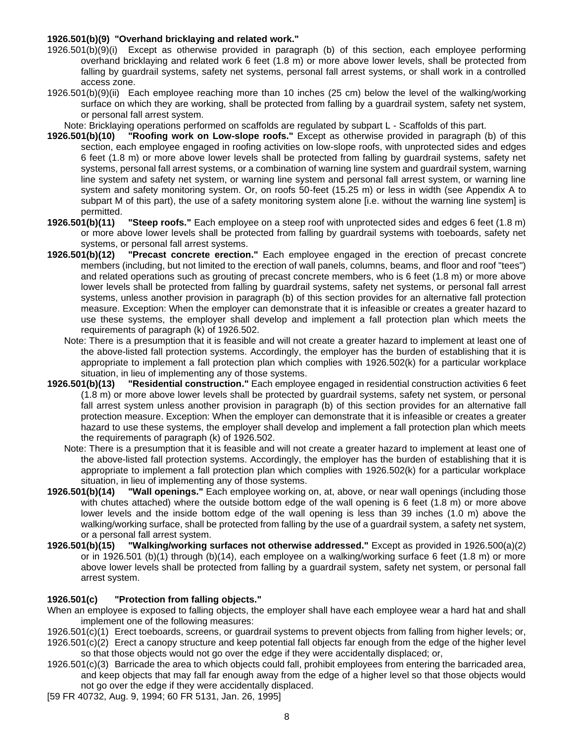#### **[1926.501\(b\)\(9\)](https://www.osha.gov/pls/oshaweb/owalink.query_links?src_doc_type=STANDARDS&src_unique_file=1926_0501&src_anchor_name=1926.501(b)(9)) "Overhand bricklaying and related work."**

- 1926.501(b)(9)(i) Except as otherwise provided in paragraph (b) of this section, each employee performing overhand bricklaying and related work 6 feet (1.8 m) or more above lower levels, shall be protected from falling by guardrail systems, safety net systems, personal fall arrest systems, or shall work in a controlled access zone.
- 1926.501(b)(9)(ii) Each employee reaching more than 10 inches (25 cm) below the level of the walking/working surface on which they are working, shall be protected from falling by a guardrail system, safety net system, or personal fall arrest system.
- Note: Bricklaying operations performed on scaffolds are regulated by subpart L Scaffolds of this part.
- **[1926.501\(b\)\(10\)](https://www.osha.gov/pls/oshaweb/owalink.query_links?src_doc_type=STANDARDS&src_unique_file=1926_0501&src_anchor_name=1926.501(b)(10)) "Roofing work on Low-slope roofs."** Except as otherwise provided in paragraph (b) of this section, each employee engaged in roofing activities on low-slope roofs, with unprotected sides and edges 6 feet (1.8 m) or more above lower levels shall be protected from falling by guardrail systems, safety net systems, personal fall arrest systems, or a combination of warning line system and guardrail system, warning line system and safety net system, or warning line system and personal fall arrest system, or warning line system and safety monitoring system. Or, on roofs 50-feet (15.25 m) or less in width (see Appendix A to subpart M of this part), the use of a safety monitoring system alone [i.e. without the warning line system] is
- permitted.<br>**1926.501(b)(11) [1926.501\(b\)\(11\)](https://www.osha.gov/pls/oshaweb/owalink.query_links?src_doc_type=STANDARDS&src_unique_file=1926_0501&src_anchor_name=1926.501(b)(11)) "Steep roofs."** Each employee on a steep roof with unprotected sides and edges 6 feet (1.8 m) or more above lower levels shall be protected from falling by guardrail systems with toeboards, safety net systems, or personal fall arrest systems.
- **[1926.501\(b\)\(12\)](https://www.osha.gov/pls/oshaweb/owalink.query_links?src_doc_type=STANDARDS&src_unique_file=1926_0501&src_anchor_name=1926.501(b)(12)) "Precast concrete erection."** Each employee engaged in the erection of precast concrete members (including, but not limited to the erection of wall panels, columns, beams, and floor and roof "tees") and related operations such as grouting of precast concrete members, who is 6 feet (1.8 m) or more above lower levels shall be protected from falling by guardrail systems, safety net systems, or personal fall arrest systems, unless another provision in paragraph (b) of this section provides for an alternative fall protection measure. Exception: When the employer can demonstrate that it is infeasible or creates a greater hazard to use these systems, the employer shall develop and implement a fall protection plan which meets the requirements of paragraph (k) of 1926.502.
	- Note: There is a presumption that it is feasible and will not create a greater hazard to implement at least one of the above-listed fall protection systems. Accordingly, the employer has the burden of establishing that it is appropriate to implement a fall protection plan which complies with 1926.502(k) for a particular workplace situation, in lieu of implementing any of those systems.
- **[1926.501\(b\)\(13\)](https://www.osha.gov/pls/oshaweb/owalink.query_links?src_doc_type=STANDARDS&src_unique_file=1926_0501&src_anchor_name=1926.501(b)(13)) "Residential construction."** Each employee engaged in residential construction activities 6 feet (1.8 m) or more above lower levels shall be protected by guardrail systems, safety net system, or personal fall arrest system unless another provision in paragraph (b) of this section provides for an alternative fall protection measure. Exception: When the employer can demonstrate that it is infeasible or creates a greater hazard to use these systems, the employer shall develop and implement a fall protection plan which meets the requirements of paragraph (k) of 1926.502.
	- Note: There is a presumption that it is feasible and will not create a greater hazard to implement at least one of the above-listed fall protection systems. Accordingly, the employer has the burden of establishing that it is appropriate to implement a fall protection plan which complies with 1926.502(k) for a particular workplace situation, in lieu of implementing any of those systems.
- **[1926.501\(b\)\(14\)](https://www.osha.gov/pls/oshaweb/owalink.query_links?src_doc_type=STANDARDS&src_unique_file=1926_0501&src_anchor_name=1926.501(b)(14)) "Wall openings."** Each employee working on, at, above, or near wall openings (including those with chutes attached) where the outside bottom edge of the wall opening is 6 feet (1.8 m) or more above lower levels and the inside bottom edge of the wall opening is less than 39 inches (1.0 m) above the walking/working surface, shall be protected from falling by the use of a guardrail system, a safety net system, or a personal fall arrest system.
- **[1926.501\(b\)\(15\)](https://www.osha.gov/pls/oshaweb/owalink.query_links?src_doc_type=STANDARDS&src_unique_file=1926_0501&src_anchor_name=1926.501(b)(15)) "Walking/working surfaces not otherwise addressed."** Except as provided in 1926.500(a)(2) or in 1926.501 (b)(1) through (b)(14), each employee on a walking/working surface 6 feet (1.8 m) or more above lower levels shall be protected from falling by a guardrail system, safety net system, or personal fall arrest system.

#### <span id="page-7-0"></span>**1926.501(c) "Protection from falling objects."**

- When an employee is exposed to falling objects, the employer shall have each employee wear a hard hat and shall implement one of the following measures:
- 1926.501(c)(1) Erect toeboards, screens, or guardrail systems to prevent objects from falling from higher levels; or,
- 1926.501(c)(2) Erect a canopy structure and keep potential fall objects far enough from the edge of the higher level so that those objects would not go over the edge if they were accidentally displaced; or,
- 1926.501(c)(3) Barricade the area to which objects could fall, prohibit employees from entering the barricaded area, and keep objects that may fall far enough away from the edge of a higher level so that those objects would not go over the edge if they were accidentally displaced.
- [59 FR 40732, Aug. 9, 1994; 60 FR 5131, Jan. 26, 1995]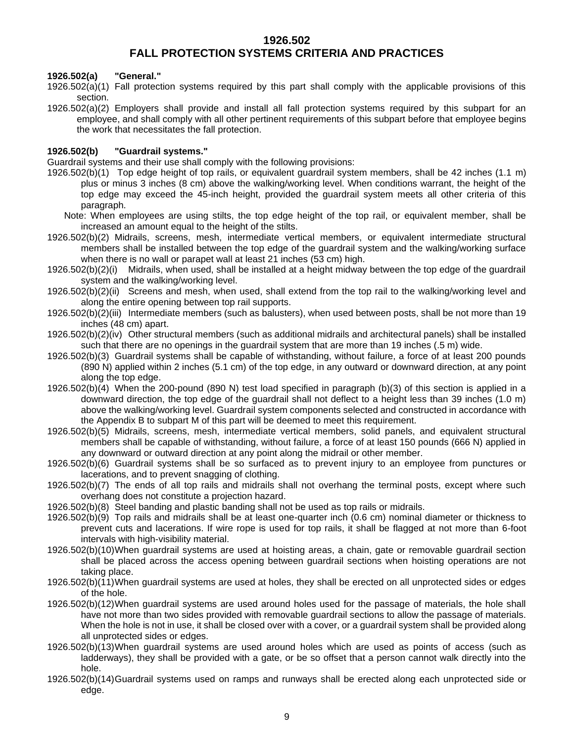## <span id="page-8-0"></span>**[1926.502](https://www.osha.gov/pls/oshaweb/owalink.query_links?src_doc_type=STANDARDS&src_unique_file=1926_0502&src_anchor_name=1926.502) FALL PROTECTION SYSTEMS CRITERIA AND PRACTICES**

#### <span id="page-8-1"></span>**1926.502(a) "General."**

- 1926.502(a)(1) Fall protection systems required by this part shall comply with the applicable provisions of this section.
- [1926.502\(a\)\(2\)](https://www.osha.gov/pls/oshaweb/owalink.query_links?src_doc_type=STANDARDS&src_unique_file=1926_0502&src_anchor_name=1926.502(a)(2)) Employers shall provide and install all fall protection systems required by this subpart for an employee, and shall comply with all other pertinent requirements of this subpart before that employee begins the work that necessitates the fall protection.

#### <span id="page-8-2"></span>**[1926.502\(b\)](https://www.osha.gov/pls/oshaweb/owalink.query_links?src_doc_type=STANDARDS&src_unique_file=1926_0502&src_anchor_name=1926.502(b)) "Guardrail systems."**

Guardrail systems and their use shall comply with the following provisions:

- [1926.502\(b\)\(1\)](https://www.osha.gov/pls/oshaweb/owalink.query_links?src_doc_type=STANDARDS&src_unique_file=1926_0502&src_anchor_name=1926.502(b)(1)) Top edge height of top rails, or equivalent guardrail system members, shall be 42 inches (1.1 m) plus or minus 3 inches (8 cm) above the walking/working level. When conditions warrant, the height of the top edge may exceed the 45-inch height, provided the guardrail system meets all other criteria of this paragraph.
	- Note: When employees are using stilts, the top edge height of the top rail, or equivalent member, shall be increased an amount equal to the height of the stilts.
- 1926.502(b)(2) Midrails, screens, mesh, intermediate vertical members, or equivalent intermediate structural members shall be installed between the top edge of the guardrail system and the walking/working surface when there is no wall or parapet wall at least 21 inches (53 cm) high.
- [1926.502\(b\)\(2\)\(i\)](https://www.osha.gov/pls/oshaweb/owalink.query_links?src_doc_type=STANDARDS&src_unique_file=1926_0502&src_anchor_name=1926.502(b)(2)(i)) Midrails, when used, shall be installed at a height midway between the top edge of the guardrail system and the walking/working level.
- 1926.502(b)(2)(ii) Screens and mesh, when used, shall extend from the top rail to the walking/working level and along the entire opening between top rail supports.
- 1926.502(b)(2)(iii) Intermediate members (such as balusters), when used between posts, shall be not more than 19 inches (48 cm) apart.
- 1926.502(b)(2)(iv) Other structural members (such as additional midrails and architectural panels) shall be installed such that there are no openings in the guardrail system that are more than 19 inches (.5 m) wide.
- [1926.502\(b\)\(3\)](https://www.osha.gov/pls/oshaweb/owalink.query_links?src_doc_type=STANDARDS&src_unique_file=1926_0502&src_anchor_name=1926.502(b)(3)) Guardrail systems shall be capable of withstanding, without failure, a force of at least 200 pounds (890 N) applied within 2 inches (5.1 cm) of the top edge, in any outward or downward direction, at any point along the top edge.
- [1926.502\(b\)\(4\)](https://www.osha.gov/pls/oshaweb/owalink.query_links?src_doc_type=STANDARDS&src_unique_file=1926_0502&src_anchor_name=1926.502(b)(4)) When the 200-pound (890 N) test load specified in paragraph (b)(3) of this section is applied in a downward direction, the top edge of the guardrail shall not deflect to a height less than 39 inches (1.0 m) above the walking/working level. Guardrail system components selected and constructed in accordance with the Appendix B to subpart M of this part will be deemed to meet this requirement.
- 1926.502(b)(5) Midrails, screens, mesh, intermediate vertical members, solid panels, and equivalent structural members shall be capable of withstanding, without failure, a force of at least 150 pounds (666 N) applied in any downward or outward direction at any point along the midrail or other member.
- 1926.502(b)(6) Guardrail systems shall be so surfaced as to prevent injury to an employee from punctures or lacerations, and to prevent snagging of clothing.
- 1926.502(b)(7) The ends of all top rails and midrails shall not overhang the terminal posts, except where such overhang does not constitute a projection hazard.
- 1926.502(b)(8) Steel banding and plastic banding shall not be used as top rails or midrails.
- 1926.502(b)(9) Top rails and midrails shall be at least one-quarter inch (0.6 cm) nominal diameter or thickness to prevent cuts and lacerations. If wire rope is used for top rails, it shall be flagged at not more than 6-foot intervals with high-visibility material.
- [1926.502\(b\)\(10\)W](https://www.osha.gov/pls/oshaweb/owalink.query_links?src_doc_type=STANDARDS&src_unique_file=1926_0502&src_anchor_name=1926.502(b)(10))hen guardrail systems are used at hoisting areas, a chain, gate or removable guardrail section shall be placed across the access opening between guardrail sections when hoisting operations are not taking place.
- 1926.502(b)(11)When guardrail systems are used at holes, they shall be erected on all unprotected sides or edges of the hole.
- 1926.502(b)(12)When guardrail systems are used around holes used for the passage of materials, the hole shall have not more than two sides provided with removable guardrail sections to allow the passage of materials. When the hole is not in use, it shall be closed over with a cover, or a guardrail system shall be provided along all unprotected sides or edges.
- 1926.502(b)(13)When guardrail systems are used around holes which are used as points of access (such as ladderways), they shall be provided with a gate, or be so offset that a person cannot walk directly into the hole.
- 1926.502(b)(14)Guardrail systems used on ramps and runways shall be erected along each unprotected side or edge.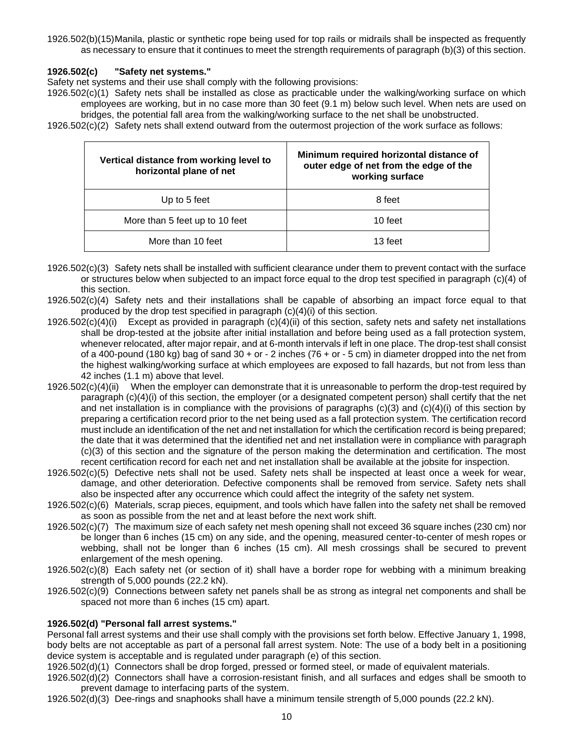1926.502(b)(15)Manila, plastic or synthetic rope being used for top rails or midrails shall be inspected as frequently as necessary to ensure that it continues to meet the strength requirements of paragraph (b)(3) of this section.

#### <span id="page-9-0"></span>**1926.502(c) "Safety net systems."**

Safety net systems and their use shall comply with the following provisions:

1926.502(c)(1) Safety nets shall be installed as close as practicable under the walking/working surface on which employees are working, but in no case more than 30 feet (9.1 m) below such level. When nets are used on bridges, the potential fall area from the walking/working surface to the net shall be unobstructed.

1926.502(c)(2) Safety nets shall extend outward from the outermost projection of the work surface as follows:

| Vertical distance from working level to<br>horizontal plane of net | Minimum required horizontal distance of<br>outer edge of net from the edge of the<br>working surface |
|--------------------------------------------------------------------|------------------------------------------------------------------------------------------------------|
| Up to 5 feet                                                       | 8 feet                                                                                               |
| More than 5 feet up to 10 feet                                     | 10 feet                                                                                              |
| More than 10 feet                                                  | 13 feet                                                                                              |

- 1926.502(c)(3) Safety nets shall be installed with sufficient clearance under them to prevent contact with the surface or structures below when subjected to an impact force equal to the drop test specified in paragraph (c)(4) of this section.
- [1926.502\(c\)\(4\)](https://www.osha.gov/pls/oshaweb/owalink.query_links?src_doc_type=STANDARDS&src_unique_file=1926_0502&src_anchor_name=1926.502(c)(4)) Safety nets and their installations shall be capable of absorbing an impact force equal to that produced by the drop test specified in paragraph (c)(4)(i) of this section.
- 1926.502(c)(4)(i) Except as provided in paragraph (c)(4)(ii) of this section, safety nets and safety net installations shall be drop-tested at the jobsite after initial installation and before being used as a fall protection system, whenever relocated, after major repair, and at 6-month intervals if left in one place. The drop-test shall consist of a 400-pound (180 kg) bag of sand 30 + or - 2 inches (76 + or - 5 cm) in diameter dropped into the net from the highest walking/working surface at which employees are exposed to fall hazards, but not from less than 42 inches (1.1 m) above that level.
- [1926.502\(c\)\(4\)\(ii\)](https://www.osha.gov/pls/oshaweb/owalink.query_links?src_doc_type=STANDARDS&src_unique_file=1926_0502&src_anchor_name=1926.502(c)(4)(ii)) When the employer can demonstrate that it is unreasonable to perform the drop-test required by paragraph (c)(4)(i) of this section, the employer (or a designated competent person) shall certify that the net and net installation is in compliance with the provisions of paragraphs (c)(3) and (c)(4)(i) of this section by preparing a certification record prior to the net being used as a fall protection system. The certification record must include an identification of the net and net installation for which the certification record is being prepared; the date that it was determined that the identified net and net installation were in compliance with paragraph (c)(3) of this section and the signature of the person making the determination and certification. The most recent certification record for each net and net installation shall be available at the jobsite for inspection.
- 1926.502(c)(5) Defective nets shall not be used. Safety nets shall be inspected at least once a week for wear, damage, and other deterioration. Defective components shall be removed from service. Safety nets shall also be inspected after any occurrence which could affect the integrity of the safety net system.
- 1926.502(c)(6) Materials, scrap pieces, equipment, and tools which have fallen into the safety net shall be removed as soon as possible from the net and at least before the next work shift.
- 1926.502(c)(7) The maximum size of each safety net mesh opening shall not exceed 36 square inches (230 cm) nor be longer than 6 inches (15 cm) on any side, and the opening, measured center-to-center of mesh ropes or webbing, shall not be longer than 6 inches (15 cm). All mesh crossings shall be secured to prevent enlargement of the mesh opening.
- 1926.502(c)(8) Each safety net (or section of it) shall have a border rope for webbing with a minimum breaking strength of 5,000 pounds (22.2 kN).
- 1926.502(c)(9) Connections between safety net panels shall be as strong as integral net components and shall be spaced not more than 6 inches (15 cm) apart.

#### <span id="page-9-1"></span>**[1926.502\(d\)](https://www.osha.gov/pls/oshaweb/owalink.query_links?src_doc_type=STANDARDS&src_unique_file=1926_0502&src_anchor_name=1926.502(d)) "Personal fall arrest systems."**

Personal fall arrest systems and their use shall comply with the provisions set forth below. Effective January 1, 1998, body belts are not acceptable as part of a personal fall arrest system. Note: The use of a body belt in a positioning device system is acceptable and is regulated under paragraph (e) of this section.

1926.502(d)(1) Connectors shall be drop forged, pressed or formed steel, or made of equivalent materials.

1926.502(d)(2) Connectors shall have a corrosion-resistant finish, and all surfaces and edges shall be smooth to prevent damage to interfacing parts of the system.

[1926.502\(d\)\(3\)](https://www.osha.gov/pls/oshaweb/owalink.query_links?src_doc_type=STANDARDS&src_unique_file=1926_0502&src_anchor_name=1926.502(d)(3)) Dee-rings and snaphooks shall have a minimum tensile strength of 5,000 pounds (22.2 kN).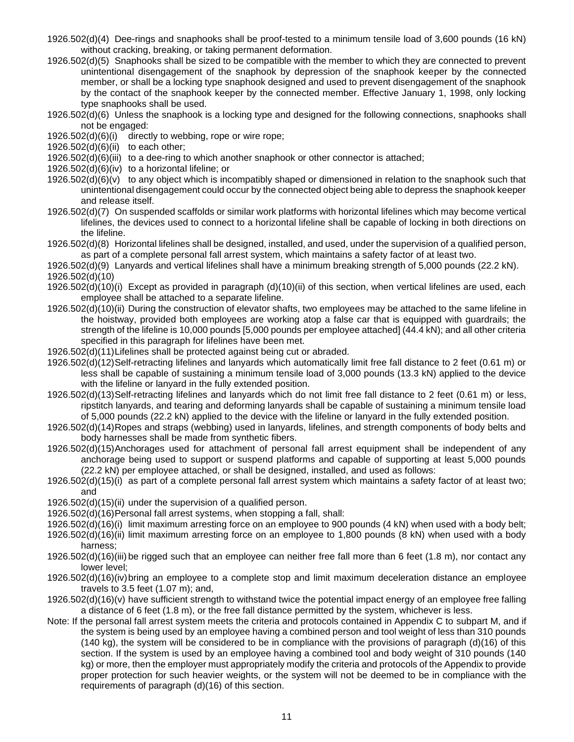- [1926.502\(d\)\(4\)](https://www.osha.gov/pls/oshaweb/owalink.query_links?src_doc_type=STANDARDS&src_unique_file=1926_0502&src_anchor_name=1926.502(d)(4)) Dee-rings and snaphooks shall be proof-tested to a minimum tensile load of 3,600 pounds (16 kN) without cracking, breaking, or taking permanent deformation.
- [1926.502\(d\)\(5\)](https://www.osha.gov/pls/oshaweb/owalink.query_links?src_doc_type=STANDARDS&src_unique_file=1926_0502&src_anchor_name=1926.502(d)(5)) Snaphooks shall be sized to be compatible with the member to which they are connected to prevent unintentional disengagement of the snaphook by depression of the snaphook keeper by the connected member, or shall be a locking type snaphook designed and used to prevent disengagement of the snaphook by the contact of the snaphook keeper by the connected member. Effective January 1, 1998, only locking type snaphooks shall be used.
- [1926.502\(d\)\(6\)](https://www.osha.gov/pls/oshaweb/owalink.query_links?src_doc_type=STANDARDS&src_unique_file=1926_0502&src_anchor_name=1926.502(d)(6)) Unless the snaphook is a locking type and designed for the following connections, snaphooks shall not be engaged:
- 1926.502(d)(6)(i) directly to webbing, rope or wire rope;
- 1926.502(d)(6)(ii) to each other;
- 1926.502(d)(6)(iii) to a dee-ring to which another snaphook or other connector is attached;
- 1926.502(d)(6)(iv) to a horizontal lifeline; or
- 1926.502(d)(6)(v) to any object which is incompatibly shaped or dimensioned in relation to the snaphook such that unintentional disengagement could occur by the connected object being able to depress the snaphook keeper and release itself.
- 1926.502(d)(7) On suspended scaffolds or similar work platforms with horizontal lifelines which may become vertical lifelines, the devices used to connect to a horizontal lifeline shall be capable of locking in both directions on the lifeline.
- [1926.502\(d\)\(8\)](https://www.osha.gov/pls/oshaweb/owalink.query_links?src_doc_type=STANDARDS&src_unique_file=1926_0502&src_anchor_name=1926.502(d)(8)) Horizontal lifelines shall be designed, installed, and used, under the supervision of a qualified person, as part of a complete personal fall arrest system, which maintains a safety factor of at least two.
- 1926.502(d)(9) Lanyards and vertical lifelines shall have a minimum breaking strength of 5,000 pounds (22.2 kN). 1926.502(d)(10)
- 1926.502(d)(10)(i) Except as provided in paragraph (d)(10)(ii) of this section, when vertical lifelines are used, each employee shall be attached to a separate lifeline.
- 1926.502(d)(10)(ii) During the construction of elevator shafts, two employees may be attached to the same lifeline in the hoistway, provided both employees are working atop a false car that is equipped with guardrails; the strength of the lifeline is 10,000 pounds [5,000 pounds per employee attached] (44.4 kN); and all other criteria specified in this paragraph for lifelines have been met.
- 1926.502(d)(11)Lifelines shall be protected against being cut or abraded.
- 1926.502(d)(12)Self-retracting lifelines and lanyards which automatically limit free fall distance to 2 feet (0.61 m) or less shall be capable of sustaining a minimum tensile load of 3,000 pounds (13.3 kN) applied to the device with the lifeline or lanyard in the fully extended position.
- 1926.502(d)(13)Self-retracting lifelines and lanyards which do not limit free fall distance to 2 feet (0.61 m) or less, ripstitch lanyards, and tearing and deforming lanyards shall be capable of sustaining a minimum tensile load of 5,000 pounds (22.2 kN) applied to the device with the lifeline or lanyard in the fully extended position.
- [1926.502\(d\)\(14\)R](https://www.osha.gov/pls/oshaweb/owalink.query_links?src_doc_type=STANDARDS&src_unique_file=1926_0502&src_anchor_name=1926.502(d)(14))opes and straps (webbing) used in lanyards, lifelines, and strength components of body belts and body harnesses shall be made from synthetic fibers.
- [1926.502\(d\)\(15\)A](https://www.osha.gov/pls/oshaweb/owalink.query_links?src_doc_type=STANDARDS&src_unique_file=1926_0502&src_anchor_name=1926.502(d)(15))nchorages used for attachment of personal fall arrest equipment shall be independent of any anchorage being used to support or suspend platforms and capable of supporting at least 5,000 pounds (22.2 kN) per employee attached, or shall be designed, installed, and used as follows:
- [1926.502\(d\)\(15\)\(i\)](https://www.osha.gov/pls/oshaweb/owalink.query_links?src_doc_type=STANDARDS&src_unique_file=1926_0502&src_anchor_name=1926.502(d)(15)(i)) as part of a complete personal fall arrest system which maintains a safety factor of at least two; and
- [1926.502\(d\)\(15\)\(ii\)](https://www.osha.gov/pls/oshaweb/owalink.query_links?src_doc_type=STANDARDS&src_unique_file=1926_0502&src_anchor_name=1926.502(d)(15)(ii)) under the supervision of a qualified person.
- [1926.502\(d\)\(16\)P](https://www.osha.gov/pls/oshaweb/owalink.query_links?src_doc_type=STANDARDS&src_unique_file=1926_0502&src_anchor_name=1926.502(d)(16))ersonal fall arrest systems, when stopping a fall, shall:
- 1926.502(d)(16)(i) limit maximum arresting force on an employee to 900 pounds (4 kN) when used with a body belt;
- 1926.502(d)(16)(ii) limit maximum arresting force on an employee to 1,800 pounds (8 kN) when used with a body harness;
- [1926.502\(d\)\(16\)\(iii\)](https://www.osha.gov/pls/oshaweb/owalink.query_links?src_doc_type=STANDARDS&src_unique_file=1926_0502&src_anchor_name=1926.502(d)(16)(iii)) be rigged such that an employee can neither free fall more than 6 feet (1.8 m), nor contact any lower level;
- [1926.502\(d\)\(16\)\(iv\)b](https://www.osha.gov/pls/oshaweb/owalink.query_links?src_doc_type=STANDARDS&src_unique_file=1926_0502&src_anchor_name=1926.502(d)(16)(iv))ring an employee to a complete stop and limit maximum deceleration distance an employee travels to 3.5 feet (1.07 m); and,
- [1926.502\(d\)\(16\)\(v\)](https://www.osha.gov/pls/oshaweb/owalink.query_links?src_doc_type=STANDARDS&src_unique_file=1926_0502&src_anchor_name=1926.502(d)(16)(v)) have sufficient strength to withstand twice the potential impact energy of an employee free falling a distance of 6 feet (1.8 m), or the free fall distance permitted by the system, whichever is less.
- Note: If the personal fall arrest system meets the criteria and protocols contained in Appendix C to subpart M, and if the system is being used by an employee having a combined person and tool weight of less than 310 pounds (140 kg), the system will be considered to be in compliance with the provisions of paragraph (d)(16) of this section. If the system is used by an employee having a combined tool and body weight of 310 pounds (140 kg) or more, then the employer must appropriately modify the criteria and protocols of the Appendix to provide proper protection for such heavier weights, or the system will not be deemed to be in compliance with the requirements of paragraph (d)(16) of this section.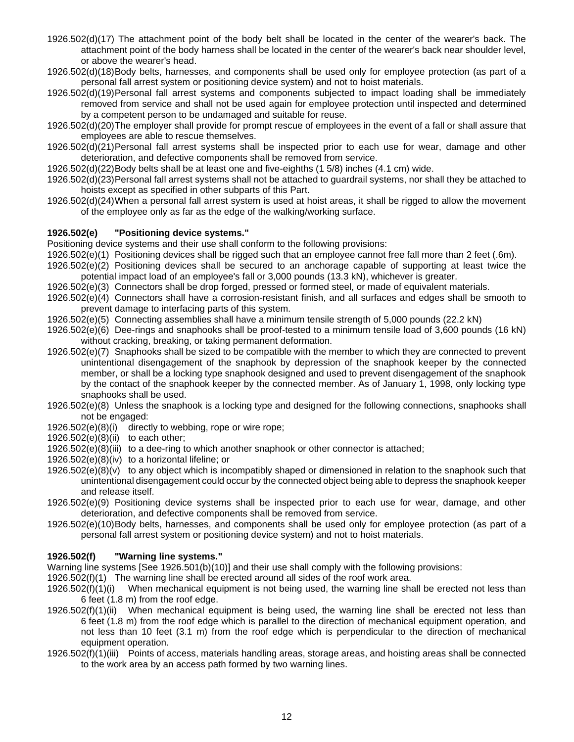- [1926.502\(d\)\(17\)](https://www.osha.gov/pls/oshaweb/owalink.query_links?src_doc_type=STANDARDS&src_unique_file=1926_0502&src_anchor_name=1926.502(d)(17)) The attachment point of the body belt shall be located in the center of the wearer's back. The attachment point of the body harness shall be located in the center of the wearer's back near shoulder level, or above the wearer's head.
- 1926.502(d)(18)Body belts, harnesses, and components shall be used only for employee protection (as part of a personal fall arrest system or positioning device system) and not to hoist materials.
- [1926.502\(d\)\(19\)P](https://www.osha.gov/pls/oshaweb/owalink.query_links?src_doc_type=STANDARDS&src_unique_file=1926_0502&src_anchor_name=1926.502(d)(19))ersonal fall arrest systems and components subjected to impact loading shall be immediately removed from service and shall not be used again for employee protection until inspected and determined by a competent person to be undamaged and suitable for reuse.
- [1926.502\(d\)\(20\)T](https://www.osha.gov/pls/oshaweb/owalink.query_links?src_doc_type=STANDARDS&src_unique_file=1926_0502&src_anchor_name=1926.502(d)(20))he employer shall provide for prompt rescue of employees in the event of a fall or shall assure that employees are able to rescue themselves.
- [1926.502\(d\)\(21\)P](https://www.osha.gov/pls/oshaweb/owalink.query_links?src_doc_type=STANDARDS&src_unique_file=1926_0502&src_anchor_name=1926.502(d)(21))ersonal fall arrest systems shall be inspected prior to each use for wear, damage and other deterioration, and defective components shall be removed from service.
- 1926.502(d)(22)Body belts shall be at least one and five-eighths (1 5/8) inches (4.1 cm) wide.
- [1926.502\(d\)\(23\)P](https://www.osha.gov/pls/oshaweb/owalink.query_links?src_doc_type=STANDARDS&src_unique_file=1926_0502&src_anchor_name=1926.502(d)(23))ersonal fall arrest systems shall not be attached to guardrail systems, nor shall they be attached to hoists except as specified in other subparts of this Part.
- 1926.502(d)(24)When a personal fall arrest system is used at hoist areas, it shall be rigged to allow the movement of the employee only as far as the edge of the walking/working surface.

## <span id="page-11-0"></span>**[1926.502\(e\)](https://www.osha.gov/pls/oshaweb/owalink.query_links?src_doc_type=STANDARDS&src_unique_file=1926_0502&src_anchor_name=1926.502(e)) "Positioning device systems."**

Positioning device systems and their use shall conform to the following provisions:

- 1926.502(e)(1) Positioning devices shall be rigged such that an employee cannot free fall more than 2 feet (.6m).
- 1926.502(e)(2) Positioning devices shall be secured to an anchorage capable of supporting at least twice the potential impact load of an employee's fall or 3,000 pounds (13.3 kN), whichever is greater.
- 1926.502(e)(3) Connectors shall be drop forged, pressed or formed steel, or made of equivalent materials.
- 1926.502(e)(4) Connectors shall have a corrosion-resistant finish, and all surfaces and edges shall be smooth to prevent damage to interfacing parts of this system.
- 1926.502(e)(5) Connecting assemblies shall have a minimum tensile strength of 5,000 pounds (22.2 kN)
- 1926.502(e)(6) Dee-rings and snaphooks shall be proof-tested to a minimum tensile load of 3,600 pounds (16 kN) without cracking, breaking, or taking permanent deformation.
- [1926.502\(e\)\(7\)](https://www.osha.gov/pls/oshaweb/owalink.query_links?src_doc_type=STANDARDS&src_unique_file=1926_0502&src_anchor_name=1926.502(e)(7)) Snaphooks shall be sized to be compatible with the member to which they are connected to prevent unintentional disengagement of the snaphook by depression of the snaphook keeper by the connected member, or shall be a locking type snaphook designed and used to prevent disengagement of the snaphook by the contact of the snaphook keeper by the connected member. As of January 1, 1998, only locking type snaphooks shall be used.
- [1926.502\(e\)\(8\)](https://www.osha.gov/pls/oshaweb/owalink.query_links?src_doc_type=STANDARDS&src_unique_file=1926_0502&src_anchor_name=1926.502(e)(8)) Unless the snaphook is a locking type and designed for the following connections, snaphooks shall not be engaged:
- 1926.502(e)(8)(i) directly to webbing, rope or wire rope;
- 1926.502(e)(8)(ii) to each other;
- 1926.502(e)(8)(iii) to a dee-ring to which another snaphook or other connector is attached;
- 1926.502(e)(8)(iv) to a horizontal lifeline; or
- 1926.502(e)(8)(v) to any object which is incompatibly shaped or dimensioned in relation to the snaphook such that unintentional disengagement could occur by the connected object being able to depress the snaphook keeper and release itself.
- 1926.502(e)(9) Positioning device systems shall be inspected prior to each use for wear, damage, and other deterioration, and defective components shall be removed from service.
- 1926.502(e)(10)Body belts, harnesses, and components shall be used only for employee protection (as part of a personal fall arrest system or positioning device system) and not to hoist materials.

### <span id="page-11-1"></span>**[1926.502\(f\)](https://www.osha.gov/pls/oshaweb/owalink.query_links?src_doc_type=STANDARDS&src_unique_file=1926_0502&src_anchor_name=1926.502(f)) "Warning line systems."**

Warning line systems [See 1926.501(b)(10)] and their use shall comply with the following provisions:

- [1926.502\(f\)\(1\)](https://www.osha.gov/pls/oshaweb/owalink.query_links?src_doc_type=STANDARDS&src_unique_file=1926_0502&src_anchor_name=1926.502(f)(1)) The warning line shall be erected around all sides of the roof work area.
- 1926.502(f)(1)(i) When mechanical equipment is not being used, the warning line shall be erected not less than 6 feet (1.8 m) from the roof edge.
- 1926.502(f)(1)(ii) When mechanical equipment is being used, the warning line shall be erected not less than 6 feet (1.8 m) from the roof edge which is parallel to the direction of mechanical equipment operation, and not less than 10 feet (3.1 m) from the roof edge which is perpendicular to the direction of mechanical equipment operation.
- 1926.502(f)(1)(iii) Points of access, materials handling areas, storage areas, and hoisting areas shall be connected to the work area by an access path formed by two warning lines.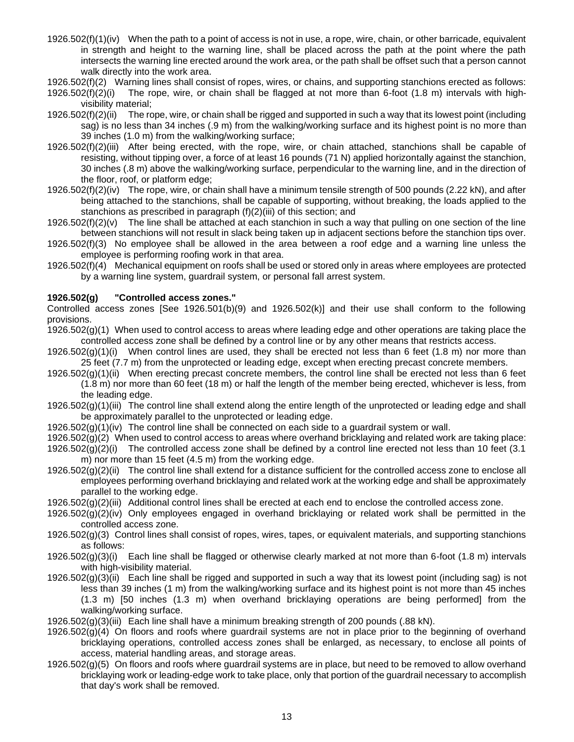- 1926.502(f)(1)(iv) When the path to a point of access is not in use, a rope, wire, chain, or other barricade, equivalent in strength and height to the warning line, shall be placed across the path at the point where the path intersects the warning line erected around the work area, or the path shall be offset such that a person cannot walk directly into the work area.
- [1926.502\(f\)\(2\)](https://www.osha.gov/pls/oshaweb/owalink.query_links?src_doc_type=STANDARDS&src_unique_file=1926_0502&src_anchor_name=1926.502(f)(2)) Warning lines shall consist of ropes, wires, or chains, and supporting stanchions erected as follows:

1926.502(f)(2)(i) The rope, wire, or chain shall be flagged at not more than 6-foot (1.8 m) intervals with highvisibility material;

- 1926.502(f)(2)(ii) The rope, wire, or chain shall be rigged and supported in such a way that its lowest point (including sag) is no less than 34 inches (.9 m) from the walking/working surface and its highest point is no more than 39 inches (1.0 m) from the walking/working surface;
- 1926.502(f)(2)(iii) After being erected, with the rope, wire, or chain attached, stanchions shall be capable of resisting, without tipping over, a force of at least 16 pounds (71 N) applied horizontally against the stanchion, 30 inches (.8 m) above the walking/working surface, perpendicular to the warning line, and in the direction of the floor, roof, or platform edge;
- [1926.502\(f\)\(2\)\(iv\)](https://www.osha.gov/pls/oshaweb/owalink.query_links?src_doc_type=STANDARDS&src_unique_file=1926_0502&src_anchor_name=1926.502(f)(2)(iv)) The rope, wire, or chain shall have a minimum tensile strength of 500 pounds (2.22 kN), and after being attached to the stanchions, shall be capable of supporting, without breaking, the loads applied to the stanchions as prescribed in paragraph (f)(2)(iii) of this section; and
- $1926.502(f)(2)(v)$  The line shall be attached at each stanchion in such a way that pulling on one section of the line between stanchions will not result in slack being taken up in adjacent sections before the stanchion tips over.
- 1926.502(f)(3) No employee shall be allowed in the area between a roof edge and a warning line unless the employee is performing roofing work in that area.
- [1926.502\(f\)\(4\)](https://www.osha.gov/pls/oshaweb/owalink.query_links?src_doc_type=STANDARDS&src_unique_file=1926_0502&src_anchor_name=1926.502(f)(4)) Mechanical equipment on roofs shall be used or stored only in areas where employees are protected by a warning line system, guardrail system, or personal fall arrest system.

### <span id="page-12-0"></span>**[1926.502\(g\)](https://www.osha.gov/pls/oshaweb/owalink.query_links?src_doc_type=STANDARDS&src_unique_file=1926_0502&src_anchor_name=1926.502(g)) "Controlled access zones."**

Controlled access zones [See 1926.501(b)(9) and 1926.502(k)] and their use shall conform to the following provisions.

1926.502(g)(1) When used to control access to areas where leading edge and other operations are taking place the controlled access zone shall be defined by a control line or by any other means that restricts access.

- 1926.502(g)(1)(i) When control lines are used, they shall be erected not less than 6 feet (1.8 m) nor more than 25 feet (7.7 m) from the unprotected or leading edge, except when erecting precast concrete members.
- 1926.502(g)(1)(ii) When erecting precast concrete members, the control line shall be erected not less than 6 feet (1.8 m) nor more than 60 feet (18 m) or half the length of the member being erected, whichever is less, from the leading edge.
- $1926.502(q)(1)(iii)$  The control line shall extend along the entire length of the unprotected or leading edge and shall be approximately parallel to the unprotected or leading edge.
- 1926.502(g)(1)(iv) The control line shall be connected on each side to a guardrail system or wall.
- [1926.502\(g\)\(2\)](https://www.osha.gov/pls/oshaweb/owalink.query_links?src_doc_type=STANDARDS&src_unique_file=1926_0502&src_anchor_name=1926.502(g)(2)) When used to control access to areas where overhand bricklaying and related work are taking place: 1926.502(g)(2)(i) The controlled access zone shall be defined by a control line erected not less than 10 feet (3.1 m) nor more than 15 feet (4.5 m) from the working edge.
- 1926.502(g)(2)(ii) The control line shall extend for a distance sufficient for the controlled access zone to enclose all employees performing overhand bricklaying and related work at the working edge and shall be approximately parallel to the working edge.

1926.502(g)(2)(iii) Additional control lines shall be erected at each end to enclose the controlled access zone.

- 1926.502(g)(2)(iv) Only employees engaged in overhand bricklaying or related work shall be permitted in the controlled access zone.
- [1926.502\(g\)\(3\)](https://www.osha.gov/pls/oshaweb/owalink.query_links?src_doc_type=STANDARDS&src_unique_file=1926_0502&src_anchor_name=1926.502(g)(3)) Control lines shall consist of ropes, wires, tapes, or equivalent materials, and supporting stanchions as follows:
- 1926.502(g)(3)(i) Each line shall be flagged or otherwise clearly marked at not more than 6-foot (1.8 m) intervals with high-visibility material.
- $1926.502(q)(3)(ii)$  Each line shall be rigged and supported in such a way that its lowest point (including sag) is not less than 39 inches (1 m) from the walking/working surface and its highest point is not more than 45 inches (1.3 m) [50 inches (1.3 m) when overhand bricklaying operations are being performed] from the walking/working surface.
- 1926.502(g)(3)(iii) Each line shall have a minimum breaking strength of 200 pounds (.88 kN).
- 1926.502(g)(4) On floors and roofs where guardrail systems are not in place prior to the beginning of overhand bricklaying operations, controlled access zones shall be enlarged, as necessary, to enclose all points of access, material handling areas, and storage areas.
- 1926.502(g)(5) On floors and roofs where guardrail systems are in place, but need to be removed to allow overhand bricklaying work or leading-edge work to take place, only that portion of the guardrail necessary to accomplish that day's work shall be removed.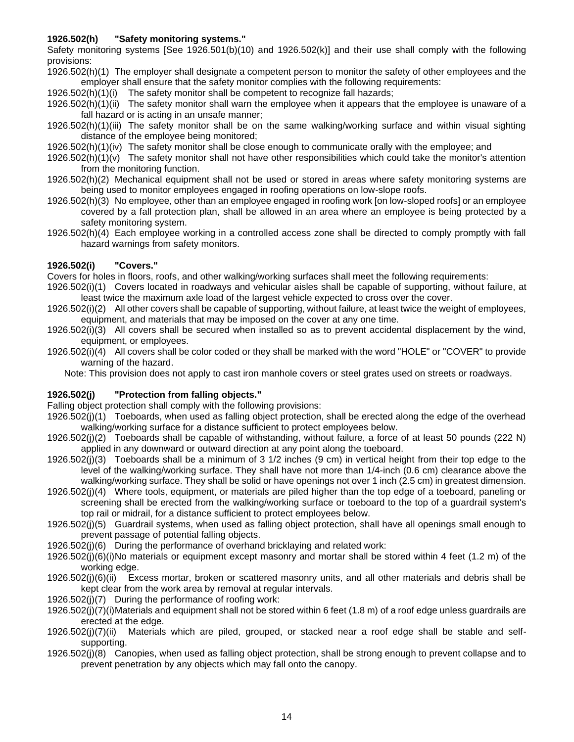#### <span id="page-13-0"></span>**[1926.502\(h\)](https://www.osha.gov/pls/oshaweb/owalink.query_links?src_doc_type=STANDARDS&src_unique_file=1926_0502&src_anchor_name=1926.502(h)) "Safety monitoring systems."**

Safety monitoring systems [See 1926.501(b)(10) and 1926.502(k)] and their use shall comply with the following provisions:

[1926.502\(h\)\(1\)](https://www.osha.gov/pls/oshaweb/owalink.query_links?src_doc_type=STANDARDS&src_unique_file=1926_0502&src_anchor_name=1926.502(h)(1)) The employer shall designate a competent person to monitor the safety of other employees and the employer shall ensure that the safety monitor complies with the following requirements:

[1926.502\(h\)\(1\)\(i\)](https://www.osha.gov/pls/oshaweb/owalink.query_links?src_doc_type=STANDARDS&src_unique_file=1926_0502&src_anchor_name=1926.502(h)(1)(i)) The safety monitor shall be competent to recognize fall hazards;

- [1926.502\(h\)\(1\)\(ii\)](https://www.osha.gov/pls/oshaweb/owalink.query_links?src_doc_type=STANDARDS&src_unique_file=1926_0502&src_anchor_name=1926.502(h)(1)(ii)) The safety monitor shall warn the employee when it appears that the employee is unaware of a fall hazard or is acting in an unsafe manner;
- [1926.502\(h\)\(1\)\(iii\)](https://www.osha.gov/pls/oshaweb/owalink.query_links?src_doc_type=STANDARDS&src_unique_file=1926_0502&src_anchor_name=1926.502(h)(1)(iii)) The safety monitor shall be on the same walking/working surface and within visual sighting distance of the employee being monitored;
- [1926.502\(h\)\(1\)\(iv\)](https://www.osha.gov/pls/oshaweb/owalink.query_links?src_doc_type=STANDARDS&src_unique_file=1926_0502&src_anchor_name=1926.502(h)(1)(iv)) The safety monitor shall be close enough to communicate orally with the employee; and
- [1926.502\(h\)\(1\)\(v\)](https://www.osha.gov/pls/oshaweb/owalink.query_links?src_doc_type=STANDARDS&src_unique_file=1926_0502&src_anchor_name=1926.502(h)(1)(v)) The safety monitor shall not have other responsibilities which could take the monitor's attention from the monitoring function.
- [1926.502\(h\)\(2\)](https://www.osha.gov/pls/oshaweb/owalink.query_links?src_doc_type=STANDARDS&src_unique_file=1926_0502&src_anchor_name=1926.502(h)(2)) Mechanical equipment shall not be used or stored in areas where safety monitoring systems are being used to monitor employees engaged in roofing operations on low-slope roofs.
- 1926.502(h)(3) No employee, other than an employee engaged in roofing work [on low-sloped roofs] or an employee covered by a fall protection plan, shall be allowed in an area where an employee is being protected by a safety monitoring system.
- 1926.502(h)(4) Each employee working in a controlled access zone shall be directed to comply promptly with fall hazard warnings from safety monitors.

### <span id="page-13-1"></span>**[1926.502\(i\)](https://www.osha.gov/pls/oshaweb/owalink.query_links?src_doc_type=STANDARDS&src_unique_file=1926_0502&src_anchor_name=1926.502(i)) "Covers."**

Covers for holes in floors, roofs, and other walking/working surfaces shall meet the following requirements:

- [1926.502\(i\)\(1\)](https://www.osha.gov/pls/oshaweb/owalink.query_links?src_doc_type=STANDARDS&src_unique_file=1926_0502&src_anchor_name=1926.502(i)(1)) Covers located in roadways and vehicular aisles shall be capable of supporting, without failure, at least twice the maximum axle load of the largest vehicle expected to cross over the cover.
- [1926.502\(i\)\(2\)](https://www.osha.gov/pls/oshaweb/owalink.query_links?src_doc_type=STANDARDS&src_unique_file=1926_0502&src_anchor_name=1926.502(i)(2)) All other covers shall be capable of supporting, without failure, at least twice the weight of employees, equipment, and materials that may be imposed on the cover at any one time.
- [1926.502\(i\)\(3\)](https://www.osha.gov/pls/oshaweb/owalink.query_links?src_doc_type=STANDARDS&src_unique_file=1926_0502&src_anchor_name=1926.502(i)(3)) All covers shall be secured when installed so as to prevent accidental displacement by the wind, equipment, or employees.
- [1926.502\(i\)\(4\)](https://www.osha.gov/pls/oshaweb/owalink.query_links?src_doc_type=STANDARDS&src_unique_file=1926_0502&src_anchor_name=1926.502(i)(4)) All covers shall be color coded or they shall be marked with the word "HOLE" or "COVER" to provide warning of the hazard.

Note: This provision does not apply to cast iron manhole covers or steel grates used on streets or roadways.

### <span id="page-13-2"></span>**[1926.502\(j\)](https://www.osha.gov/pls/oshaweb/owalink.query_links?src_doc_type=STANDARDS&src_unique_file=1926_0502&src_anchor_name=1926.502(j)) "Protection from falling objects."**

Falling object protection shall comply with the following provisions:

- 1926.502(j)(1) Toeboards, when used as falling object protection, shall be erected along the edge of the overhead walking/working surface for a distance sufficient to protect employees below.
- 1926.502(j)(2) Toeboards shall be capable of withstanding, without failure, a force of at least 50 pounds (222 N) applied in any downward or outward direction at any point along the toeboard.
- 1926.502(j)(3) Toeboards shall be a minimum of 3 1/2 inches (9 cm) in vertical height from their top edge to the level of the walking/working surface. They shall have not more than 1/4-inch (0.6 cm) clearance above the walking/working surface. They shall be solid or have openings not over 1 inch (2.5 cm) in greatest dimension.
- 1926.502(j)(4) Where tools, equipment, or materials are piled higher than the top edge of a toeboard, paneling or screening shall be erected from the walking/working surface or toeboard to the top of a guardrail system's top rail or midrail, for a distance sufficient to protect employees below.
- 1926.502(j)(5) Guardrail systems, when used as falling object protection, shall have all openings small enough to prevent passage of potential falling objects.
- 1926.502(j)(6) During the performance of overhand bricklaying and related work:
- 1926.502(j)(6)(i)No materials or equipment except masonry and mortar shall be stored within 4 feet (1.2 m) of the working edge.
- 1926.502(j)(6)(ii) Excess mortar, broken or scattered masonry units, and all other materials and debris shall be kept clear from the work area by removal at regular intervals.
- 1926.502(j)(7) During the performance of roofing work:
- 1926.502(j)(7)(i)Materials and equipment shall not be stored within 6 feet (1.8 m) of a roof edge unless guardrails are erected at the edge.
- 1926.502(j)(7)(ii) Materials which are piled, grouped, or stacked near a roof edge shall be stable and selfsupporting.
- 1926.502(j)(8) Canopies, when used as falling object protection, shall be strong enough to prevent collapse and to prevent penetration by any objects which may fall onto the canopy.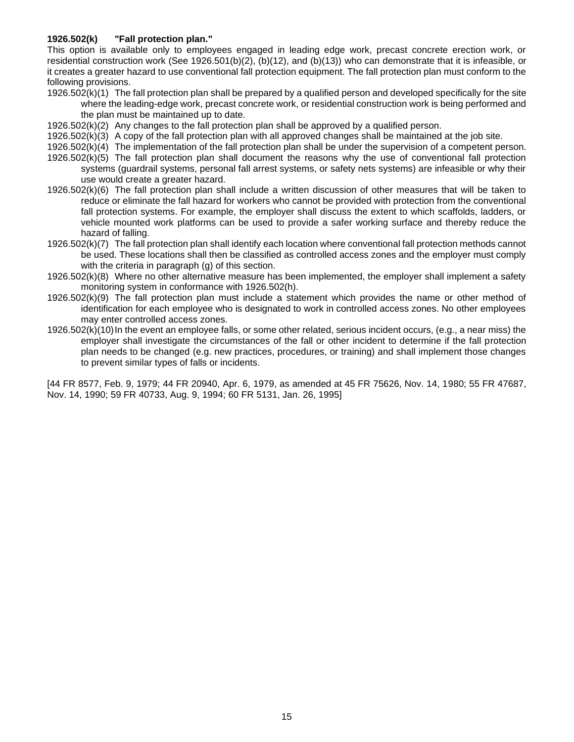#### <span id="page-14-0"></span>**[1926.502\(k\)](https://www.osha.gov/pls/oshaweb/owalink.query_links?src_doc_type=STANDARDS&src_unique_file=1926_0502&src_anchor_name=1926.502(k)) "Fall protection plan."**

This option is available only to employees engaged in leading edge work, precast concrete erection work, or residential construction work (See 1926.501(b)(2), (b)(12), and (b)(13)) who can demonstrate that it is infeasible, or it creates a greater hazard to use conventional fall protection equipment. The fall protection plan must conform to the following provisions.

- 1926.502(k)(1) The fall protection plan shall be prepared by a qualified person and developed specifically for the site where the leading-edge work, precast concrete work, or residential construction work is being performed and the plan must be maintained up to date.
- 1926.502(k)(2) Any changes to the fall protection plan shall be approved by a qualified person.
- 1926.502(k)(3) A copy of the fall protection plan with all approved changes shall be maintained at the job site.
- 1926.502(k)(4) The implementation of the fall protection plan shall be under the supervision of a competent person.
- 1926.502(k)(5) The fall protection plan shall document the reasons why the use of conventional fall protection systems (guardrail systems, personal fall arrest systems, or safety nets systems) are infeasible or why their use would create a greater hazard.
- 1926.502(k)(6) The fall protection plan shall include a written discussion of other measures that will be taken to reduce or eliminate the fall hazard for workers who cannot be provided with protection from the conventional fall protection systems. For example, the employer shall discuss the extent to which scaffolds, ladders, or vehicle mounted work platforms can be used to provide a safer working surface and thereby reduce the hazard of falling.
- [1926.502\(k\)\(7\)](https://www.osha.gov/pls/oshaweb/owalink.query_links?src_doc_type=STANDARDS&src_unique_file=1926_0502&src_anchor_name=1926.502(k)(7)) The fall protection plan shall identify each location where conventional fall protection methods cannot be used. These locations shall then be classified as controlled access zones and the employer must comply with the criteria in paragraph (g) of this section.
- 1926.502(k)(8) Where no other alternative measure has been implemented, the employer shall implement a safety monitoring system in conformance with 1926.502(h).
- 1926.502(k)(9) The fall protection plan must include a statement which provides the name or other method of identification for each employee who is designated to work in controlled access zones. No other employees may enter controlled access zones.
- 1926.502(k)(10)In the event an employee falls, or some other related, serious incident occurs, (e.g., a near miss) the employer shall investigate the circumstances of the fall or other incident to determine if the fall protection plan needs to be changed (e.g. new practices, procedures, or training) and shall implement those changes to prevent similar types of falls or incidents.

[44 FR 8577, Feb. 9, 1979; 44 FR 20940, Apr. 6, 1979, as amended at 45 FR 75626, Nov. 14, 1980; 55 FR 47687, Nov. 14, 1990; 59 FR 40733, Aug. 9, 1994; 60 FR 5131, Jan. 26, 1995]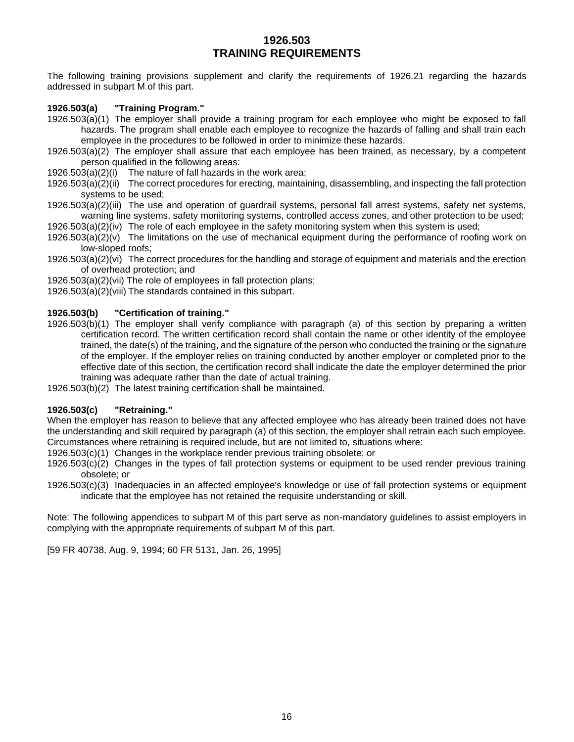## <span id="page-15-0"></span>**[1926.503](https://www.osha.gov/pls/oshaweb/owalink.query_links?src_doc_type=STANDARDS&src_unique_file=1926_0503&src_anchor_name=1926.503) TRAINING REQUIREMENTS**

The following training provisions supplement and clarify the requirements of 1926.21 regarding the hazards addressed in subpart M of this part.

#### <span id="page-15-1"></span>**1926.503(a) "Training Program."**

[1926.503\(a\)\(1\)](https://www.osha.gov/pls/oshaweb/owalink.query_links?src_doc_type=STANDARDS&src_unique_file=1926_0503&src_anchor_name=1926.503(a)(1)) The employer shall provide a training program for each employee who might be exposed to fall hazards. The program shall enable each employee to recognize the hazards of falling and shall train each employee in the procedures to be followed in order to minimize these hazards.

- [1926.503\(a\)\(2\)](https://www.osha.gov/pls/oshaweb/owalink.query_links?src_doc_type=STANDARDS&src_unique_file=1926_0503&src_anchor_name=1926.503(a)(2)) The employer shall assure that each employee has been trained, as necessary, by a competent person qualified in the following areas:
- 1926.503(a)(2)(i) The nature of fall hazards in the work area;
- [1926.503\(a\)\(2\)\(ii\)](https://www.osha.gov/pls/oshaweb/owalink.query_links?src_doc_type=STANDARDS&src_unique_file=1926_0503&src_anchor_name=1926.503(a)(2)(ii)) The correct procedures for erecting, maintaining, disassembling, and inspecting the fall protection systems to be used;
- 1926.503(a)(2)(iii) The use and operation of guardrail systems, personal fall arrest systems, safety net systems, warning line systems, safety monitoring systems, controlled access zones, and other protection to be used;

1926.503(a)(2)(iv) The role of each employee in the safety monitoring system when this system is used;

- 1926.503(a)(2)(v) The limitations on the use of mechanical equipment during the performance of roofing work on low-sloped roofs;
- 1926.503(a)(2)(vi) The correct procedures for the handling and storage of equipment and materials and the erection of overhead protection; and

[1926.503\(a\)\(2\)\(vii\)](https://www.osha.gov/pls/oshaweb/owalink.query_links?src_doc_type=STANDARDS&src_unique_file=1926_0503&src_anchor_name=1926.503(a)(2)(vii)) The role of employees in fall protection plans;

1926.503(a)(2)(viii) The standards contained in this subpart.

#### <span id="page-15-2"></span>**[1926.503\(b\)](https://www.osha.gov/pls/oshaweb/owalink.query_links?src_doc_type=STANDARDS&src_unique_file=1926_0503&src_anchor_name=1926.503(b)) "Certification of training."**

1926.503(b)(1) The employer shall verify compliance with paragraph (a) of this section by preparing a written certification record. The written certification record shall contain the name or other identity of the employee trained, the date(s) of the training, and the signature of the person who conducted the training or the signature of the employer. If the employer relies on training conducted by another employer or completed prior to the effective date of this section, the certification record shall indicate the date the employer determined the prior training was adequate rather than the date of actual training.

1926.503(b)(2) The latest training certification shall be maintained.

### <span id="page-15-3"></span>**1926.503(c) "Retraining."**

When the employer has reason to believe that any affected employee who has already been trained does not have the understanding and skill required by paragraph (a) of this section, the employer shall retrain each such employee. Circumstances where retraining is required include, but are not limited to, situations where:

1926.503(c)(1) Changes in the workplace render previous training obsolete; or

- 1926.503(c)(2) Changes in the types of fall protection systems or equipment to be used render previous training obsolete; or
- 1926.503(c)(3) Inadequacies in an affected employee's knowledge or use of fall protection systems or equipment indicate that the employee has not retained the requisite understanding or skill.

Note: The following appendices to subpart M of this part serve as non-mandatory guidelines to assist employers in complying with the appropriate requirements of subpart M of this part.

[59 FR 40738, Aug. 9, 1994; 60 FR 5131, Jan. 26, 1995]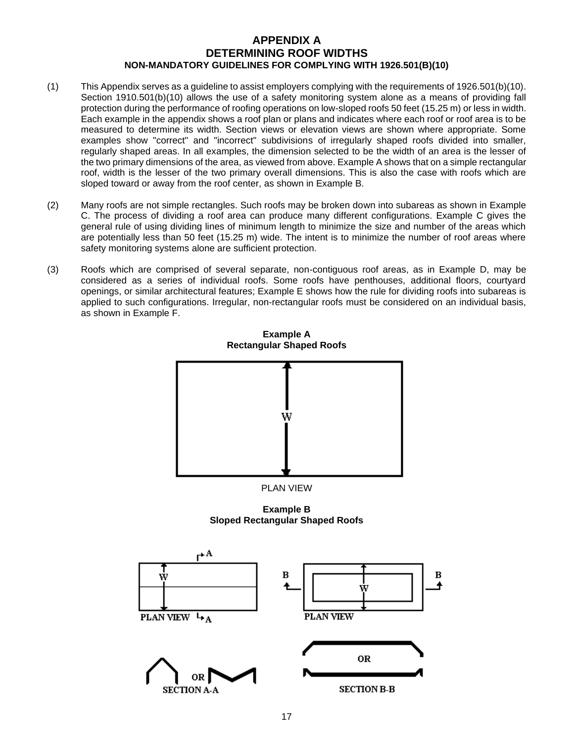## **APPENDIX A DETERMINING ROOF WIDTHS NON-MANDATORY GUIDELINES FOR COMPLYING WITH 1926.501(B)(10)**

- <span id="page-16-0"></span>(1) This Appendix serves as a guideline to assist employers complying with the requirements of 1926.501(b)(10). Section 1910.501(b)(10) allows the use of a safety monitoring system alone as a means of providing fall protection during the performance of roofing operations on low-sloped roofs 50 feet (15.25 m) or less in width. Each example in the appendix shows a roof plan or plans and indicates where each roof or roof area is to be measured to determine its width. Section views or elevation views are shown where appropriate. Some examples show "correct" and "incorrect" subdivisions of irregularly shaped roofs divided into smaller, regularly shaped areas. In all examples, the dimension selected to be the width of an area is the lesser of the two primary dimensions of the area, as viewed from above. Example A shows that on a simple rectangular roof, width is the lesser of the two primary overall dimensions. This is also the case with roofs which are sloped toward or away from the roof center, as shown in Example B.
- (2) Many roofs are not simple rectangles. Such roofs may be broken down into subareas as shown in Example C. The process of dividing a roof area can produce many different configurations. Example C gives the general rule of using dividing lines of minimum length to minimize the size and number of the areas which are potentially less than 50 feet (15.25 m) wide. The intent is to minimize the number of roof areas where safety monitoring systems alone are sufficient protection.
- <span id="page-16-2"></span><span id="page-16-1"></span>(3) Roofs which are comprised of several separate, non-contiguous roof areas, as in Example D, may be considered as a series of individual roofs. Some roofs have penthouses, additional floors, courtyard openings, or similar architectural features; Example E shows how the rule for dividing roofs into subareas is applied to such configurations. Irregular, non-rectangular roofs must be considered on an individual basis, as shown in Example F.



**Example A Rectangular Shaped Roofs**

**Example B Sloped Rectangular Shaped Roofs**

<span id="page-16-4"></span><span id="page-16-3"></span>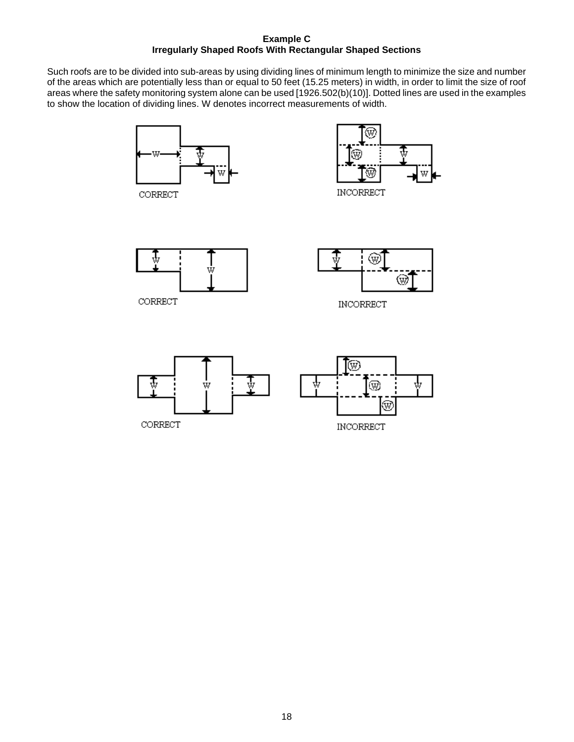#### **Example C Irregularly Shaped Roofs With Rectangular Shaped Sections**

<span id="page-17-1"></span><span id="page-17-0"></span>Such roofs are to be divided into sub-areas by using dividing lines of minimum length to minimize the size and number of the areas which are potentially less than or equal to 50 feet (15.25 meters) in width, in order to limit the size of roof areas where the safety monitoring system alone can be used [1926.502(b)(10)]. Dotted lines are used in the examples to show the location of dividing lines. W denotes incorrect measurements of width.



CORRECT



**INCORRECT** 



CORRECT



**INCORRECT** 

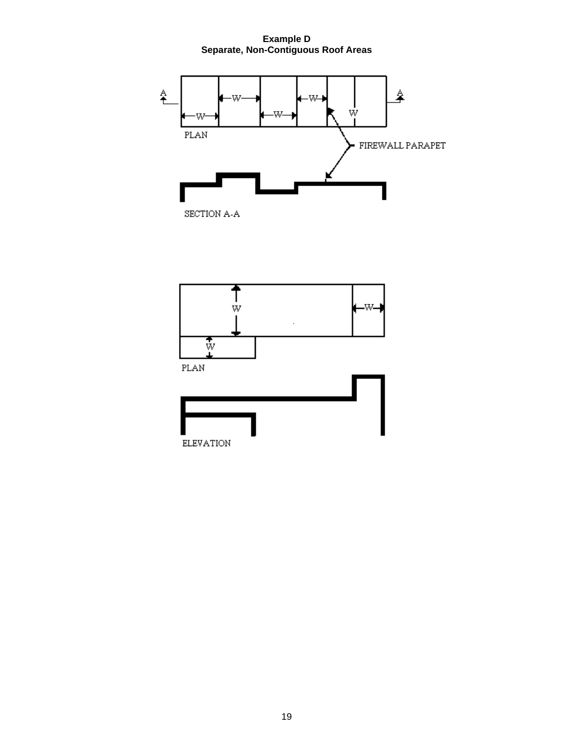**Example D Separate, Non-Contiguous Roof Areas**

<span id="page-18-1"></span><span id="page-18-0"></span>

 ${\tt SECTION\ A\text{-}A}$ 

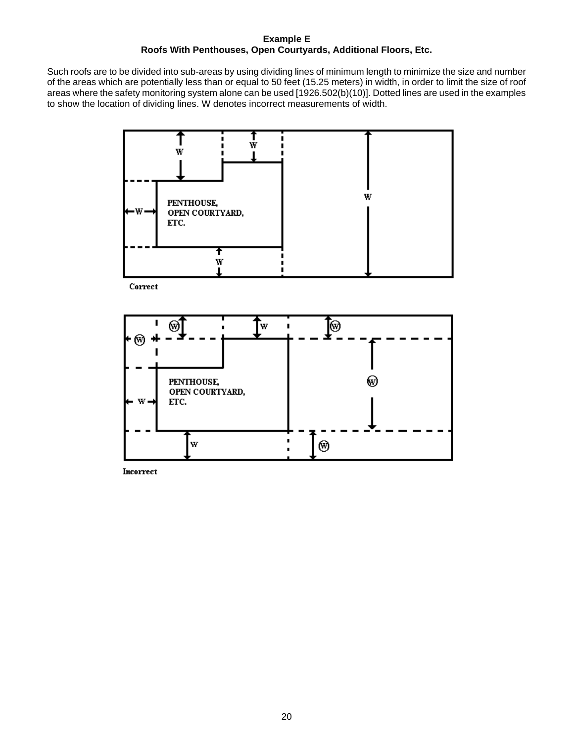#### **Example E Roofs With Penthouses, Open Courtyards, Additional Floors, Etc.**

<span id="page-19-1"></span><span id="page-19-0"></span>Such roofs are to be divided into sub-areas by using dividing lines of minimum length to minimize the size and number of the areas which are potentially less than or equal to 50 feet (15.25 meters) in width, in order to limit the size of roof areas where the safety monitoring system alone can be used [1926.502(b)(10)]. Dotted lines are used in the examples to show the location of dividing lines. W denotes incorrect measurements of width.



Incorrect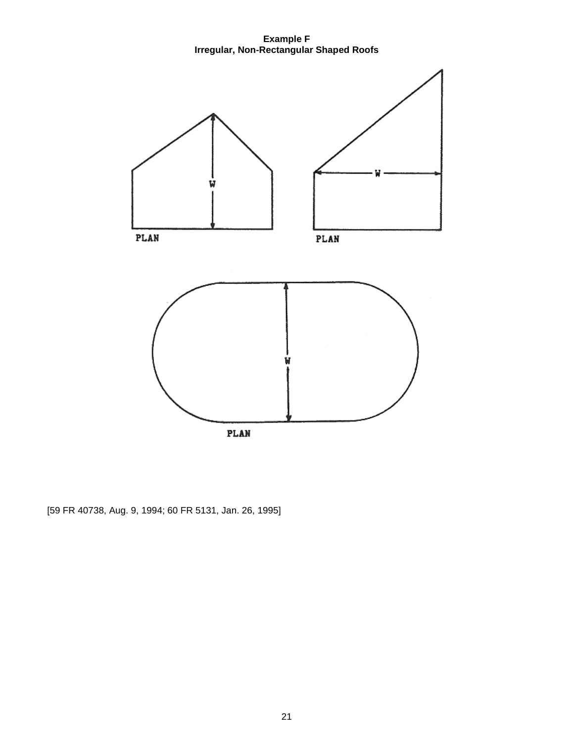**Example F Irregular, Non-Rectangular Shaped Roofs**

<span id="page-20-1"></span><span id="page-20-0"></span>

[59 FR 40738, Aug. 9, 1994; 60 FR 5131, Jan. 26, 1995]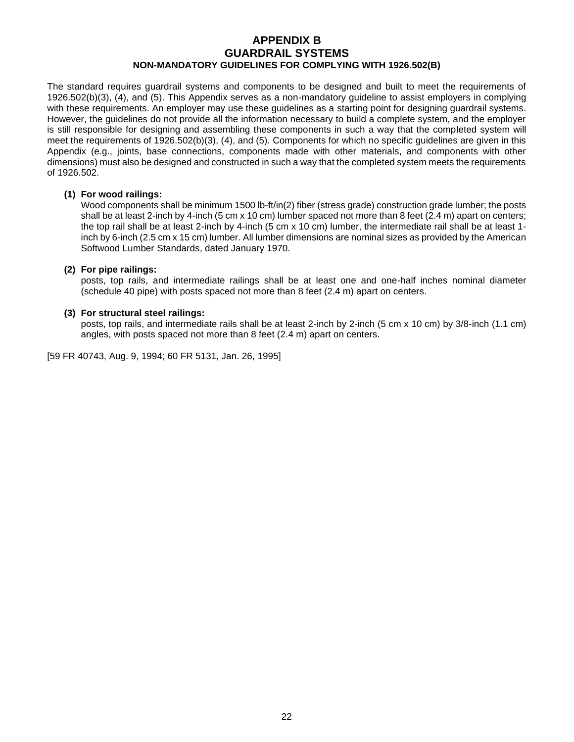## **APPENDIX B GUARDRAIL SYSTEMS NON-MANDATORY GUIDELINES FOR COMPLYING WITH 1926.502(B)**

<span id="page-21-0"></span>The standard requires guardrail systems and components to be designed and built to meet the requirements of 1926.502(b)(3), (4), and (5). This Appendix serves as a non-mandatory guideline to assist employers in complying with these requirements. An employer may use these guidelines as a starting point for designing guardrail systems. However, the guidelines do not provide all the information necessary to build a complete system, and the employer is still responsible for designing and assembling these components in such a way that the completed system will meet the requirements of 1926.502(b)(3), (4), and (5). Components for which no specific guidelines are given in this Appendix (e.g., joints, base connections, components made with other materials, and components with other dimensions) must also be designed and constructed in such a way that the completed system meets the requirements of 1926.502.

#### <span id="page-21-1"></span>**(1) For wood railings:**

Wood components shall be minimum 1500 lb-ft/in(2) fiber (stress grade) construction grade lumber; the posts shall be at least 2-inch by 4-inch (5 cm x 10 cm) lumber spaced not more than 8 feet (2.4 m) apart on centers; the top rail shall be at least 2-inch by 4-inch (5 cm x 10 cm) lumber, the intermediate rail shall be at least 1 inch by 6-inch (2.5 cm x 15 cm) lumber. All lumber dimensions are nominal sizes as provided by the American Softwood Lumber Standards, dated January 1970.

#### <span id="page-21-2"></span>**(2) For pipe railings:**

posts, top rails, and intermediate railings shall be at least one and one-half inches nominal diameter (schedule 40 pipe) with posts spaced not more than 8 feet (2.4 m) apart on centers.

#### <span id="page-21-3"></span>**(3) For structural steel railings:**

posts, top rails, and intermediate rails shall be at least 2-inch by 2-inch (5 cm x 10 cm) by 3/8-inch (1.1 cm) angles, with posts spaced not more than 8 feet (2.4 m) apart on centers.

[59 FR 40743, Aug. 9, 1994; 60 FR 5131, Jan. 26, 1995]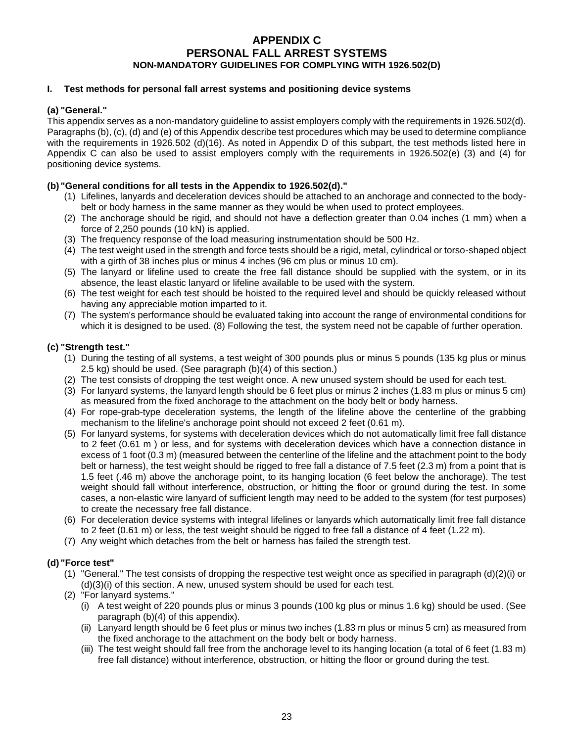## **APPENDIX C PERSONAL FALL ARREST SYSTEMS NON-MANDATORY GUIDELINES FOR COMPLYING WITH 1926.502(D)**

#### <span id="page-22-1"></span><span id="page-22-0"></span>**I. Test methods for personal fall arrest systems and positioning device systems**

#### **(a) "General."**

This appendix serves as a non-mandatory guideline to assist employers comply with the requirements in 1926.502(d). Paragraphs (b), (c), (d) and (e) of this Appendix describe test procedures which may be used to determine compliance with the requirements in 1926.502 (d)(16). As noted in Appendix D of this subpart, the test methods listed here in Appendix C can also be used to assist employers comply with the requirements in 1926.502(e) (3) and (4) for positioning device systems.

### **(b) "General conditions for all tests in the Appendix to 1926.502(d)."**

- (1) Lifelines, lanyards and deceleration devices should be attached to an anchorage and connected to the bodybelt or body harness in the same manner as they would be when used to protect employees.
- (2) The anchorage should be rigid, and should not have a deflection greater than 0.04 inches (1 mm) when a force of 2,250 pounds (10 kN) is applied.
- (3) The frequency response of the load measuring instrumentation should be 500 Hz.
- (4) The test weight used in the strength and force tests should be a rigid, metal, cylindrical or torso-shaped object with a girth of 38 inches plus or minus 4 inches (96 cm plus or minus 10 cm).
- (5) The lanyard or lifeline used to create the free fall distance should be supplied with the system, or in its absence, the least elastic lanyard or lifeline available to be used with the system.
- (6) The test weight for each test should be hoisted to the required level and should be quickly released without having any appreciable motion imparted to it.
- (7) The system's performance should be evaluated taking into account the range of environmental conditions for which it is designed to be used. (8) Following the test, the system need not be capable of further operation.

## **(c) "Strength test."**

- (1) During the testing of all systems, a test weight of 300 pounds plus or minus 5 pounds (135 kg plus or minus 2.5 kg) should be used. (See paragraph (b)(4) of this section.)
- (2) The test consists of dropping the test weight once. A new unused system should be used for each test.
- (3) For lanyard systems, the lanyard length should be 6 feet plus or minus 2 inches (1.83 m plus or minus 5 cm) as measured from the fixed anchorage to the attachment on the body belt or body harness.
- (4) For rope-grab-type deceleration systems, the length of the lifeline above the centerline of the grabbing mechanism to the lifeline's anchorage point should not exceed 2 feet (0.61 m).
- (5) For lanyard systems, for systems with deceleration devices which do not automatically limit free fall distance to 2 feet (0.61 m ) or less, and for systems with deceleration devices which have a connection distance in excess of 1 foot (0.3 m) (measured between the centerline of the lifeline and the attachment point to the body belt or harness), the test weight should be rigged to free fall a distance of 7.5 feet (2.3 m) from a point that is 1.5 feet (.46 m) above the anchorage point, to its hanging location (6 feet below the anchorage). The test weight should fall without interference, obstruction, or hitting the floor or ground during the test. In some cases, a non-elastic wire lanyard of sufficient length may need to be added to the system (for test purposes) to create the necessary free fall distance.
- (6) For deceleration device systems with integral lifelines or lanyards which automatically limit free fall distance to 2 feet (0.61 m) or less, the test weight should be rigged to free fall a distance of 4 feet (1.22 m).
- (7) Any weight which detaches from the belt or harness has failed the strength test.

### **(d) "Force test"**

- (1) "General." The test consists of dropping the respective test weight once as specified in paragraph (d)(2)(i) or (d)(3)(i) of this section. A new, unused system should be used for each test.
- (2) "For lanyard systems."
	- (i) A test weight of 220 pounds plus or minus 3 pounds (100 kg plus or minus 1.6 kg) should be used. (See paragraph (b)(4) of this appendix).
	- (ii) Lanyard length should be 6 feet plus or minus two inches (1.83 m plus or minus 5 cm) as measured from the fixed anchorage to the attachment on the body belt or body harness.
	- (iii) The test weight should fall free from the anchorage level to its hanging location (a total of 6 feet (1.83 m) free fall distance) without interference, obstruction, or hitting the floor or ground during the test.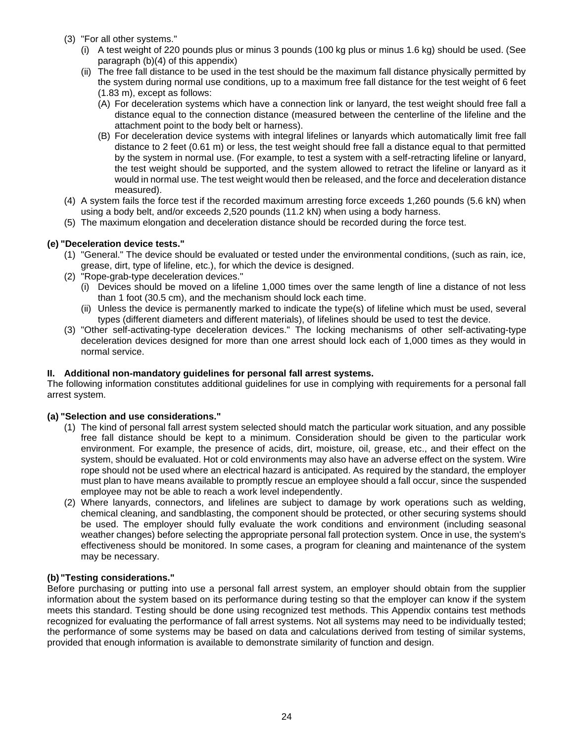- (3) "For all other systems."
	- (i) A test weight of 220 pounds plus or minus 3 pounds (100 kg plus or minus 1.6 kg) should be used. (See paragraph (b)(4) of this appendix)
	- (ii) The free fall distance to be used in the test should be the maximum fall distance physically permitted by the system during normal use conditions, up to a maximum free fall distance for the test weight of 6 feet (1.83 m), except as follows:
		- (A) For deceleration systems which have a connection link or lanyard, the test weight should free fall a distance equal to the connection distance (measured between the centerline of the lifeline and the attachment point to the body belt or harness).
		- (B) For deceleration device systems with integral lifelines or lanyards which automatically limit free fall distance to 2 feet (0.61 m) or less, the test weight should free fall a distance equal to that permitted by the system in normal use. (For example, to test a system with a self-retracting lifeline or lanyard, the test weight should be supported, and the system allowed to retract the lifeline or lanyard as it would in normal use. The test weight would then be released, and the force and deceleration distance measured).
- (4) A system fails the force test if the recorded maximum arresting force exceeds 1,260 pounds (5.6 kN) when using a body belt, and/or exceeds 2,520 pounds (11.2 kN) when using a body harness.
- (5) The maximum elongation and deceleration distance should be recorded during the force test.

### **(e) "Deceleration device tests."**

- (1) "General." The device should be evaluated or tested under the environmental conditions, (such as rain, ice, grease, dirt, type of lifeline, etc.), for which the device is designed.
- (2) "Rope-grab-type deceleration devices."
	- (i) Devices should be moved on a lifeline 1,000 times over the same length of line a distance of not less than 1 foot (30.5 cm), and the mechanism should lock each time.
	- (ii) Unless the device is permanently marked to indicate the type(s) of lifeline which must be used, several types (different diameters and different materials), of lifelines should be used to test the device.
- (3) "Other self-activating-type deceleration devices." The locking mechanisms of other self-activating-type deceleration devices designed for more than one arrest should lock each of 1,000 times as they would in normal service.

#### <span id="page-23-0"></span>**II. Additional non-mandatory guidelines for personal fall arrest systems.**

The following information constitutes additional guidelines for use in complying with requirements for a personal fall arrest system.

#### **(a) "Selection and use considerations."**

- (1) The kind of personal fall arrest system selected should match the particular work situation, and any possible free fall distance should be kept to a minimum. Consideration should be given to the particular work environment. For example, the presence of acids, dirt, moisture, oil, grease, etc., and their effect on the system, should be evaluated. Hot or cold environments may also have an adverse effect on the system. Wire rope should not be used where an electrical hazard is anticipated. As required by the standard, the employer must plan to have means available to promptly rescue an employee should a fall occur, since the suspended employee may not be able to reach a work level independently.
- (2) Where lanyards, connectors, and lifelines are subject to damage by work operations such as welding, chemical cleaning, and sandblasting, the component should be protected, or other securing systems should be used. The employer should fully evaluate the work conditions and environment (including seasonal weather changes) before selecting the appropriate personal fall protection system. Once in use, the system's effectiveness should be monitored. In some cases, a program for cleaning and maintenance of the system may be necessary.

### **(b) "Testing considerations."**

Before purchasing or putting into use a personal fall arrest system, an employer should obtain from the supplier information about the system based on its performance during testing so that the employer can know if the system meets this standard. Testing should be done using recognized test methods. This Appendix contains test methods recognized for evaluating the performance of fall arrest systems. Not all systems may need to be individually tested; the performance of some systems may be based on data and calculations derived from testing of similar systems, provided that enough information is available to demonstrate similarity of function and design.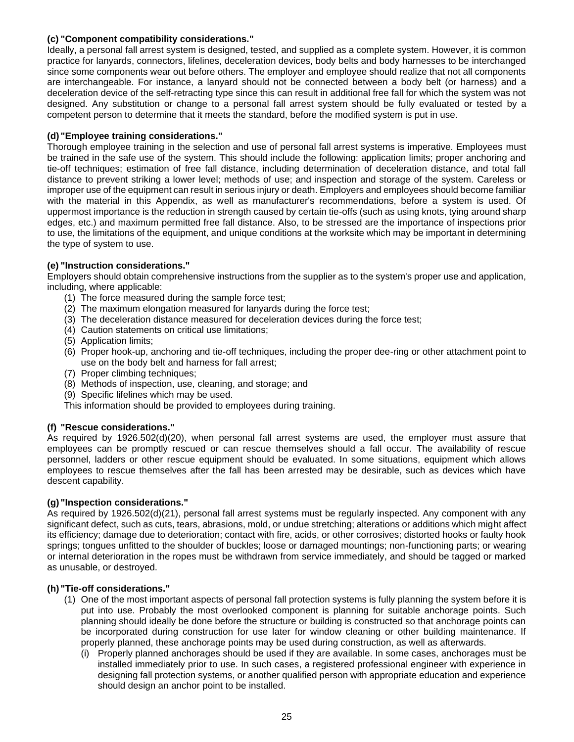#### **(c) "Component compatibility considerations."**

Ideally, a personal fall arrest system is designed, tested, and supplied as a complete system. However, it is common practice for lanyards, connectors, lifelines, deceleration devices, body belts and body harnesses to be interchanged since some components wear out before others. The employer and employee should realize that not all components are interchangeable. For instance, a lanyard should not be connected between a body belt (or harness) and a deceleration device of the self-retracting type since this can result in additional free fall for which the system was not designed. Any substitution or change to a personal fall arrest system should be fully evaluated or tested by a competent person to determine that it meets the standard, before the modified system is put in use.

### **(d) "Employee training considerations."**

Thorough employee training in the selection and use of personal fall arrest systems is imperative. Employees must be trained in the safe use of the system. This should include the following: application limits; proper anchoring and tie-off techniques; estimation of free fall distance, including determination of deceleration distance, and total fall distance to prevent striking a lower level; methods of use; and inspection and storage of the system. Careless or improper use of the equipment can result in serious injury or death. Employers and employees should become familiar with the material in this Appendix, as well as manufacturer's recommendations, before a system is used. Of uppermost importance is the reduction in strength caused by certain tie-offs (such as using knots, tying around sharp edges, etc.) and maximum permitted free fall distance. Also, to be stressed are the importance of inspections prior to use, the limitations of the equipment, and unique conditions at the worksite which may be important in determining the type of system to use.

## **(e) "Instruction considerations."**

Employers should obtain comprehensive instructions from the supplier as to the system's proper use and application, including, where applicable:

- (1) The force measured during the sample force test;
- (2) The maximum elongation measured for lanyards during the force test;
- (3) The deceleration distance measured for deceleration devices during the force test;
- (4) Caution statements on critical use limitations;
- (5) Application limits;
- (6) Proper hook-up, anchoring and tie-off techniques, including the proper dee-ring or other attachment point to use on the body belt and harness for fall arrest;
- (7) Proper climbing techniques;
- (8) Methods of inspection, use, cleaning, and storage; and
- (9) Specific lifelines which may be used.

This information should be provided to employees during training.

### **(f) "Rescue considerations."**

As required by 1926.502(d)(20), when personal fall arrest systems are used, the employer must assure that employees can be promptly rescued or can rescue themselves should a fall occur. The availability of rescue personnel, ladders or other rescue equipment should be evaluated. In some situations, equipment which allows employees to rescue themselves after the fall has been arrested may be desirable, such as devices which have descent capability.

### **(g) "Inspection considerations."**

As required by 1926.502(d)(21), personal fall arrest systems must be regularly inspected. Any component with any significant defect, such as cuts, tears, abrasions, mold, or undue stretching; alterations or additions which might affect its efficiency; damage due to deterioration; contact with fire, acids, or other corrosives; distorted hooks or faulty hook springs; tongues unfitted to the shoulder of buckles; loose or damaged mountings; non-functioning parts; or wearing or internal deterioration in the ropes must be withdrawn from service immediately, and should be tagged or marked as unusable, or destroyed.

### **(h) "Tie-off considerations."**

- (1) One of the most important aspects of personal fall protection systems is fully planning the system before it is put into use. Probably the most overlooked component is planning for suitable anchorage points. Such planning should ideally be done before the structure or building is constructed so that anchorage points can be incorporated during construction for use later for window cleaning or other building maintenance. If properly planned, these anchorage points may be used during construction, as well as afterwards.
	- (i) Properly planned anchorages should be used if they are available. In some cases, anchorages must be installed immediately prior to use. In such cases, a registered professional engineer with experience in designing fall protection systems, or another qualified person with appropriate education and experience should design an anchor point to be installed.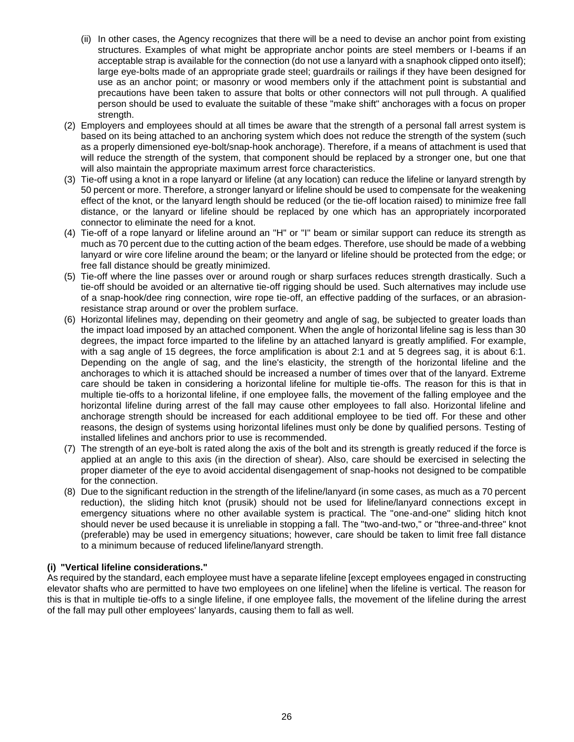- (ii) In other cases, the Agency recognizes that there will be a need to devise an anchor point from existing structures. Examples of what might be appropriate anchor points are steel members or I-beams if an acceptable strap is available for the connection (do not use a lanyard with a snaphook clipped onto itself); large eye-bolts made of an appropriate grade steel; guardrails or railings if they have been designed for use as an anchor point; or masonry or wood members only if the attachment point is substantial and precautions have been taken to assure that bolts or other connectors will not pull through. A qualified person should be used to evaluate the suitable of these "make shift" anchorages with a focus on proper strength.
- (2) Employers and employees should at all times be aware that the strength of a personal fall arrest system is based on its being attached to an anchoring system which does not reduce the strength of the system (such as a properly dimensioned eye-bolt/snap-hook anchorage). Therefore, if a means of attachment is used that will reduce the strength of the system, that component should be replaced by a stronger one, but one that will also maintain the appropriate maximum arrest force characteristics.
- (3) Tie-off using a knot in a rope lanyard or lifeline (at any location) can reduce the lifeline or lanyard strength by 50 percent or more. Therefore, a stronger lanyard or lifeline should be used to compensate for the weakening effect of the knot, or the lanyard length should be reduced (or the tie-off location raised) to minimize free fall distance, or the lanyard or lifeline should be replaced by one which has an appropriately incorporated connector to eliminate the need for a knot.
- (4) Tie-off of a rope lanyard or lifeline around an "H" or "I" beam or similar support can reduce its strength as much as 70 percent due to the cutting action of the beam edges. Therefore, use should be made of a webbing lanyard or wire core lifeline around the beam; or the lanyard or lifeline should be protected from the edge; or free fall distance should be greatly minimized.
- (5) Tie-off where the line passes over or around rough or sharp surfaces reduces strength drastically. Such a tie-off should be avoided or an alternative tie-off rigging should be used. Such alternatives may include use of a snap-hook/dee ring connection, wire rope tie-off, an effective padding of the surfaces, or an abrasionresistance strap around or over the problem surface.
- (6) Horizontal lifelines may, depending on their geometry and angle of sag, be subjected to greater loads than the impact load imposed by an attached component. When the angle of horizontal lifeline sag is less than 30 degrees, the impact force imparted to the lifeline by an attached lanyard is greatly amplified. For example, with a sag angle of 15 degrees, the force amplification is about 2:1 and at 5 degrees sag, it is about 6:1. Depending on the angle of sag, and the line's elasticity, the strength of the horizontal lifeline and the anchorages to which it is attached should be increased a number of times over that of the lanyard. Extreme care should be taken in considering a horizontal lifeline for multiple tie-offs. The reason for this is that in multiple tie-offs to a horizontal lifeline, if one employee falls, the movement of the falling employee and the horizontal lifeline during arrest of the fall may cause other employees to fall also. Horizontal lifeline and anchorage strength should be increased for each additional employee to be tied off. For these and other reasons, the design of systems using horizontal lifelines must only be done by qualified persons. Testing of installed lifelines and anchors prior to use is recommended.
- (7) The strength of an eye-bolt is rated along the axis of the bolt and its strength is greatly reduced if the force is applied at an angle to this axis (in the direction of shear). Also, care should be exercised in selecting the proper diameter of the eye to avoid accidental disengagement of snap-hooks not designed to be compatible for the connection.
- (8) Due to the significant reduction in the strength of the lifeline/lanyard (in some cases, as much as a 70 percent reduction), the sliding hitch knot (prusik) should not be used for lifeline/lanyard connections except in emergency situations where no other available system is practical. The "one-and-one" sliding hitch knot should never be used because it is unreliable in stopping a fall. The "two-and-two," or "three-and-three" knot (preferable) may be used in emergency situations; however, care should be taken to limit free fall distance to a minimum because of reduced lifeline/lanyard strength.

### **(i) "Vertical lifeline considerations."**

As required by the standard, each employee must have a separate lifeline [except employees engaged in constructing elevator shafts who are permitted to have two employees on one lifeline] when the lifeline is vertical. The reason for this is that in multiple tie-offs to a single lifeline, if one employee falls, the movement of the lifeline during the arrest of the fall may pull other employees' lanyards, causing them to fall as well.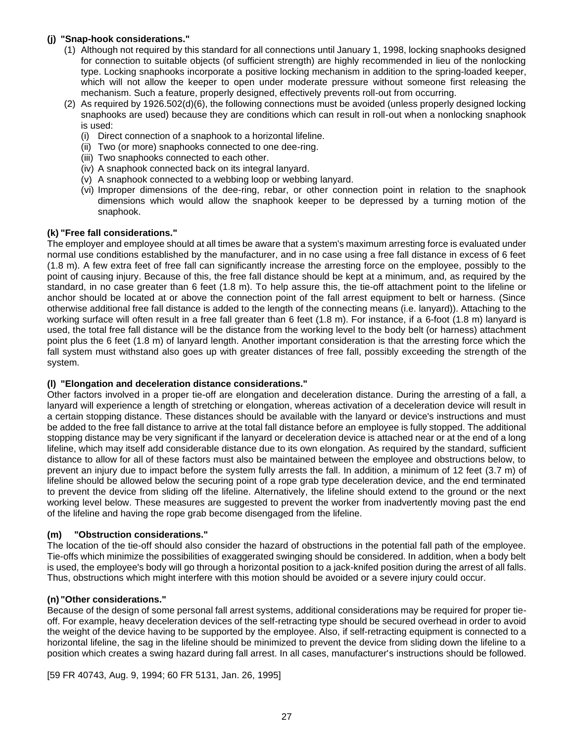### **(j) "Snap-hook considerations."**

- (1) Although not required by this standard for all connections until January 1, 1998, locking snaphooks designed for connection to suitable objects (of sufficient strength) are highly recommended in lieu of the nonlocking type. Locking snaphooks incorporate a positive locking mechanism in addition to the spring-loaded keeper, which will not allow the keeper to open under moderate pressure without someone first releasing the mechanism. Such a feature, properly designed, effectively prevents roll-out from occurring.
- (2) As required by 1926.502(d)(6), the following connections must be avoided (unless properly designed locking snaphooks are used) because they are conditions which can result in roll-out when a nonlocking snaphook is used:
	- (i) Direct connection of a snaphook to a horizontal lifeline.
	- (ii) Two (or more) snaphooks connected to one dee-ring.
	- (iii) Two snaphooks connected to each other.
	- (iv) A snaphook connected back on its integral lanyard.
	- (v) A snaphook connected to a webbing loop or webbing lanyard.
	- (vi) Improper dimensions of the dee-ring, rebar, or other connection point in relation to the snaphook dimensions which would allow the snaphook keeper to be depressed by a turning motion of the snaphook.

#### **(k) "Free fall considerations."**

The employer and employee should at all times be aware that a system's maximum arresting force is evaluated under normal use conditions established by the manufacturer, and in no case using a free fall distance in excess of 6 feet (1.8 m). A few extra feet of free fall can significantly increase the arresting force on the employee, possibly to the point of causing injury. Because of this, the free fall distance should be kept at a minimum, and, as required by the standard, in no case greater than 6 feet (1.8 m). To help assure this, the tie-off attachment point to the lifeline or anchor should be located at or above the connection point of the fall arrest equipment to belt or harness. (Since otherwise additional free fall distance is added to the length of the connecting means (i.e. lanyard)). Attaching to the working surface will often result in a free fall greater than 6 feet (1.8 m). For instance, if a 6-foot (1.8 m) lanyard is used, the total free fall distance will be the distance from the working level to the body belt (or harness) attachment point plus the 6 feet (1.8 m) of lanyard length. Another important consideration is that the arresting force which the fall system must withstand also goes up with greater distances of free fall, possibly exceeding the strength of the system.

#### **(l) "Elongation and deceleration distance considerations."**

Other factors involved in a proper tie-off are elongation and deceleration distance. During the arresting of a fall, a lanyard will experience a length of stretching or elongation, whereas activation of a deceleration device will result in a certain stopping distance. These distances should be available with the lanyard or device's instructions and must be added to the free fall distance to arrive at the total fall distance before an employee is fully stopped. The additional stopping distance may be very significant if the lanyard or deceleration device is attached near or at the end of a long lifeline, which may itself add considerable distance due to its own elongation. As required by the standard, sufficient distance to allow for all of these factors must also be maintained between the employee and obstructions below, to prevent an injury due to impact before the system fully arrests the fall. In addition, a minimum of 12 feet (3.7 m) of lifeline should be allowed below the securing point of a rope grab type deceleration device, and the end terminated to prevent the device from sliding off the lifeline. Alternatively, the lifeline should extend to the ground or the next working level below. These measures are suggested to prevent the worker from inadvertently moving past the end of the lifeline and having the rope grab become disengaged from the lifeline.

#### **(m) "Obstruction considerations."**

The location of the tie-off should also consider the hazard of obstructions in the potential fall path of the employee. Tie-offs which minimize the possibilities of exaggerated swinging should be considered. In addition, when a body belt is used, the employee's body will go through a horizontal position to a jack-knifed position during the arrest of all falls. Thus, obstructions which might interfere with this motion should be avoided or a severe injury could occur.

#### **(n) "Other considerations."**

Because of the design of some personal fall arrest systems, additional considerations may be required for proper tieoff. For example, heavy deceleration devices of the self-retracting type should be secured overhead in order to avoid the weight of the device having to be supported by the employee. Also, if self-retracting equipment is connected to a horizontal lifeline, the sag in the lifeline should be minimized to prevent the device from sliding down the lifeline to a position which creates a swing hazard during fall arrest. In all cases, manufacturer's instructions should be followed.

[59 FR 40743, Aug. 9, 1994; 60 FR 5131, Jan. 26, 1995]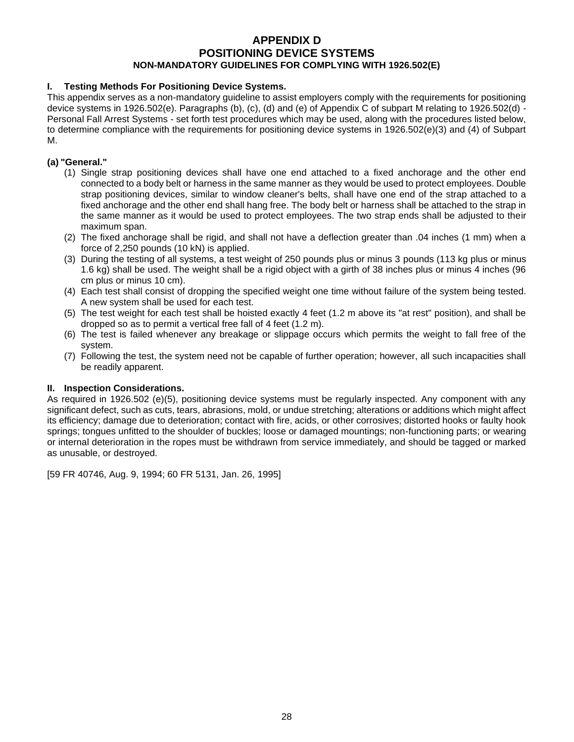## **APPENDIX D POSITIONING DEVICE SYSTEMS NON-MANDATORY GUIDELINES FOR COMPLYING WITH 1926.502(E)**

### <span id="page-27-1"></span><span id="page-27-0"></span>**I. Testing Methods For Positioning Device Systems.**

This appendix serves as a non-mandatory guideline to assist employers comply with the requirements for positioning device systems in 1926.502(e). Paragraphs (b), (c), (d) and (e) of Appendix C of subpart M relating to 1926.502(d) - Personal Fall Arrest Systems - set forth test procedures which may be used, along with the procedures listed below, to determine compliance with the requirements for positioning device systems in 1926.502(e)(3) and (4) of Subpart M.

#### **(a) "General."**

- (1) Single strap positioning devices shall have one end attached to a fixed anchorage and the other end connected to a body belt or harness in the same manner as they would be used to protect employees. Double strap positioning devices, similar to window cleaner's belts, shall have one end of the strap attached to a fixed anchorage and the other end shall hang free. The body belt or harness shall be attached to the strap in the same manner as it would be used to protect employees. The two strap ends shall be adjusted to their maximum span.
- (2) The fixed anchorage shall be rigid, and shall not have a deflection greater than .04 inches (1 mm) when a force of 2,250 pounds (10 kN) is applied.
- (3) During the testing of all systems, a test weight of 250 pounds plus or minus 3 pounds (113 kg plus or minus 1.6 kg) shall be used. The weight shall be a rigid object with a girth of 38 inches plus or minus 4 inches (96 cm plus or minus 10 cm).
- (4) Each test shall consist of dropping the specified weight one time without failure of the system being tested. A new system shall be used for each test.
- (5) The test weight for each test shall be hoisted exactly 4 feet (1.2 m above its "at rest" position), and shall be dropped so as to permit a vertical free fall of 4 feet (1.2 m).
- (6) The test is failed whenever any breakage or slippage occurs which permits the weight to fall free of the system.
- (7) Following the test, the system need not be capable of further operation; however, all such incapacities shall be readily apparent.

#### <span id="page-27-2"></span>**II. Inspection Considerations.**

As required in 1926.502 (e)(5), positioning device systems must be regularly inspected. Any component with any significant defect, such as cuts, tears, abrasions, mold, or undue stretching; alterations or additions which might affect its efficiency; damage due to deterioration; contact with fire, acids, or other corrosives; distorted hooks or faulty hook springs; tongues unfitted to the shoulder of buckles; loose or damaged mountings; non-functioning parts; or wearing or internal deterioration in the ropes must be withdrawn from service immediately, and should be tagged or marked as unusable, or destroyed.

[59 FR 40746, Aug. 9, 1994; 60 FR 5131, Jan. 26, 1995]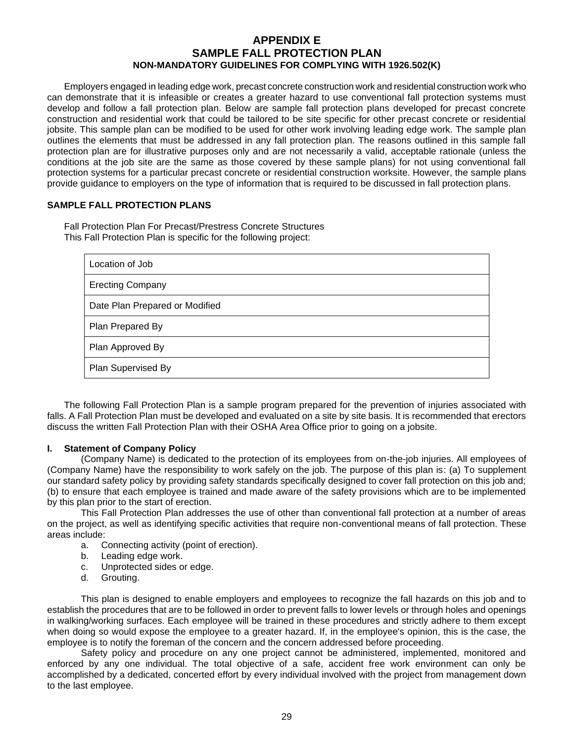## **APPENDIX E SAMPLE FALL PROTECTION PLAN NON-MANDATORY GUIDELINES FOR COMPLYING WITH 1926.502(K)**

<span id="page-28-0"></span>Employers engaged in leading edge work, precast concrete construction work and residential construction work who can demonstrate that it is infeasible or creates a greater hazard to use conventional fall protection systems must develop and follow a fall protection plan. Below are sample fall protection plans developed for precast concrete construction and residential work that could be tailored to be site specific for other precast concrete or residential jobsite. This sample plan can be modified to be used for other work involving leading edge work. The sample plan outlines the elements that must be addressed in any fall protection plan. The reasons outlined in this sample fall protection plan are for illustrative purposes only and are not necessarily a valid, acceptable rationale (unless the conditions at the job site are the same as those covered by these sample plans) for not using conventional fall protection systems for a particular precast concrete or residential construction worksite. However, the sample plans provide guidance to employers on the type of information that is required to be discussed in fall protection plans.

#### **SAMPLE FALL PROTECTION PLANS**

Fall Protection Plan For Precast/Prestress Concrete Structures This Fall Protection Plan is specific for the following project:

| Location of Job                |
|--------------------------------|
| <b>Erecting Company</b>        |
| Date Plan Prepared or Modified |
| Plan Prepared By               |
| Plan Approved By               |
| Plan Supervised By             |

The following Fall Protection Plan is a sample program prepared for the prevention of injuries associated with falls. A Fall Protection Plan must be developed and evaluated on a site by site basis. It is recommended that erectors discuss the written Fall Protection Plan with their OSHA Area Office prior to going on a jobsite.

#### <span id="page-28-1"></span>**I. Statement of Company Policy**

(Company Name) is dedicated to the protection of its employees from on-the-job injuries. All employees of (Company Name) have the responsibility to work safely on the job. The purpose of this plan is: (a) To supplement our standard safety policy by providing safety standards specifically designed to cover fall protection on this job and; (b) to ensure that each employee is trained and made aware of the safety provisions which are to be implemented by this plan prior to the start of erection.

This Fall Protection Plan addresses the use of other than conventional fall protection at a number of areas on the project, as well as identifying specific activities that require non-conventional means of fall protection. These areas include:

- a. Connecting activity (point of erection).
- b. Leading edge work.
- c. Unprotected sides or edge.
- d. Grouting.

This plan is designed to enable employers and employees to recognize the fall hazards on this job and to establish the procedures that are to be followed in order to prevent falls to lower levels or through holes and openings in walking/working surfaces. Each employee will be trained in these procedures and strictly adhere to them except when doing so would expose the employee to a greater hazard. If, in the employee's opinion, this is the case, the employee is to notify the foreman of the concern and the concern addressed before proceeding.

Safety policy and procedure on any one project cannot be administered, implemented, monitored and enforced by any one individual. The total objective of a safe, accident free work environment can only be accomplished by a dedicated, concerted effort by every individual involved with the project from management down to the last employee.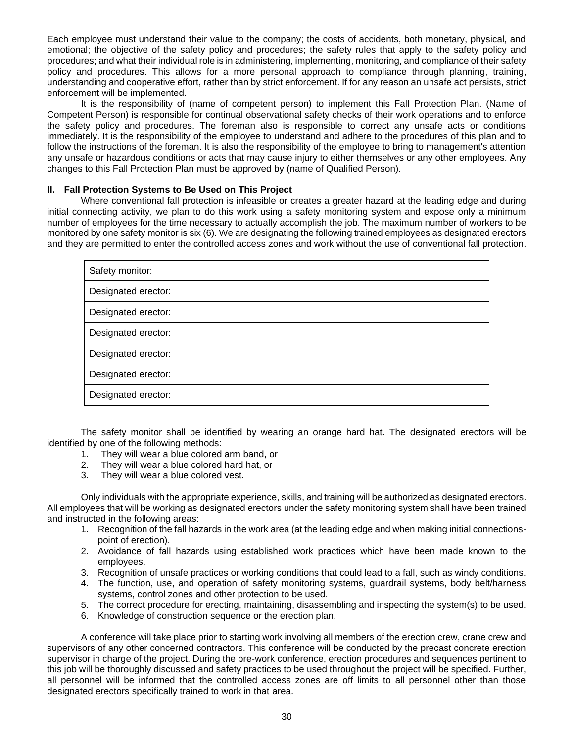Each employee must understand their value to the company; the costs of accidents, both monetary, physical, and emotional; the objective of the safety policy and procedures; the safety rules that apply to the safety policy and procedures; and what their individual role is in administering, implementing, monitoring, and compliance of their safety policy and procedures. This allows for a more personal approach to compliance through planning, training, understanding and cooperative effort, rather than by strict enforcement. If for any reason an unsafe act persists, strict enforcement will be implemented.

It is the responsibility of (name of competent person) to implement this Fall Protection Plan. (Name of Competent Person) is responsible for continual observational safety checks of their work operations and to enforce the safety policy and procedures. The foreman also is responsible to correct any unsafe acts or conditions immediately. It is the responsibility of the employee to understand and adhere to the procedures of this plan and to follow the instructions of the foreman. It is also the responsibility of the employee to bring to management's attention any unsafe or hazardous conditions or acts that may cause injury to either themselves or any other employees. Any changes to this Fall Protection Plan must be approved by (name of Qualified Person).

#### <span id="page-29-0"></span>**II. Fall Protection Systems to Be Used on This Project**

Where conventional fall protection is infeasible or creates a greater hazard at the leading edge and during initial connecting activity, we plan to do this work using a safety monitoring system and expose only a minimum number of employees for the time necessary to actually accomplish the job. The maximum number of workers to be monitored by one safety monitor is six (6). We are designating the following trained employees as designated erectors and they are permitted to enter the controlled access zones and work without the use of conventional fall protection.

| Safety monitor:     |
|---------------------|
| Designated erector: |
| Designated erector: |
| Designated erector: |
| Designated erector: |
| Designated erector: |
| Designated erector: |

The safety monitor shall be identified by wearing an orange hard hat. The designated erectors will be identified by one of the following methods:

- 1. They will wear a blue colored arm band, or
- 2. They will wear a blue colored hard hat, or
- 3. They will wear a blue colored vest.

Only individuals with the appropriate experience, skills, and training will be authorized as designated erectors. All employees that will be working as designated erectors under the safety monitoring system shall have been trained and instructed in the following areas:

- 1. Recognition of the fall hazards in the work area (at the leading edge and when making initial connectionspoint of erection).
- 2. Avoidance of fall hazards using established work practices which have been made known to the employees.
- 3. Recognition of unsafe practices or working conditions that could lead to a fall, such as windy conditions.
- 4. The function, use, and operation of safety monitoring systems, guardrail systems, body belt/harness systems, control zones and other protection to be used.
- 5. The correct procedure for erecting, maintaining, disassembling and inspecting the system(s) to be used.
- 6. Knowledge of construction sequence or the erection plan.

A conference will take place prior to starting work involving all members of the erection crew, crane crew and supervisors of any other concerned contractors. This conference will be conducted by the precast concrete erection supervisor in charge of the project. During the pre-work conference, erection procedures and sequences pertinent to this job will be thoroughly discussed and safety practices to be used throughout the project will be specified. Further, all personnel will be informed that the controlled access zones are off limits to all personnel other than those designated erectors specifically trained to work in that area.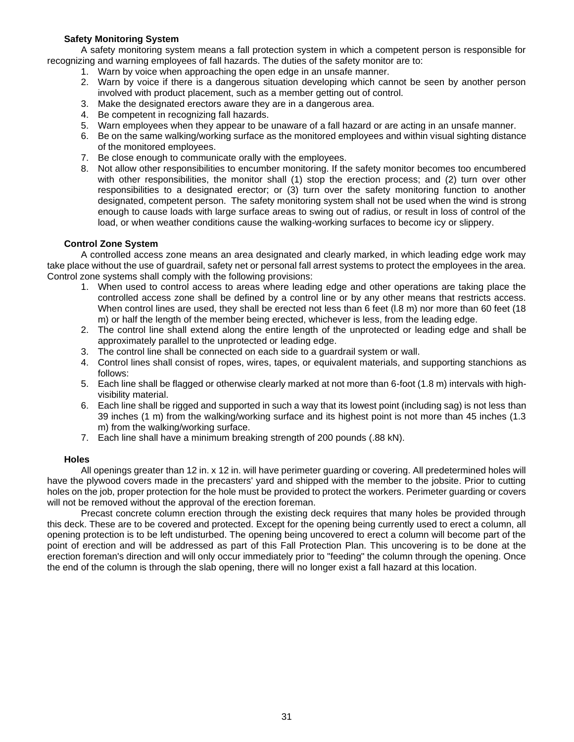#### **Safety Monitoring System**

A safety monitoring system means a fall protection system in which a competent person is responsible for recognizing and warning employees of fall hazards. The duties of the safety monitor are to:

- 1. Warn by voice when approaching the open edge in an unsafe manner.
- 2. Warn by voice if there is a dangerous situation developing which cannot be seen by another person involved with product placement, such as a member getting out of control.
- 3. Make the designated erectors aware they are in a dangerous area.
- 4. Be competent in recognizing fall hazards.
- 5. Warn employees when they appear to be unaware of a fall hazard or are acting in an unsafe manner.
- 6. Be on the same walking/working surface as the monitored employees and within visual sighting distance of the monitored employees.
- 7. Be close enough to communicate orally with the employees.
- 8. Not allow other responsibilities to encumber monitoring. If the safety monitor becomes too encumbered with other responsibilities, the monitor shall (1) stop the erection process; and (2) turn over other responsibilities to a designated erector; or (3) turn over the safety monitoring function to another designated, competent person. The safety monitoring system shall not be used when the wind is strong enough to cause loads with large surface areas to swing out of radius, or result in loss of control of the load, or when weather conditions cause the walking-working surfaces to become icy or slippery.

#### **Control Zone System**

A controlled access zone means an area designated and clearly marked, in which leading edge work may take place without the use of guardrail, safety net or personal fall arrest systems to protect the employees in the area. Control zone systems shall comply with the following provisions:

- 1. When used to control access to areas where leading edge and other operations are taking place the controlled access zone shall be defined by a control line or by any other means that restricts access. When control lines are used, they shall be erected not less than 6 feet (I.8 m) nor more than 60 feet (18 m) or half the length of the member being erected, whichever is less, from the leading edge.
- 2. The control line shall extend along the entire length of the unprotected or leading edge and shall be approximately parallel to the unprotected or leading edge.
- 3. The control line shall be connected on each side to a guardrail system or wall.
- 4. Control lines shall consist of ropes, wires, tapes, or equivalent materials, and supporting stanchions as follows:
- 5. Each line shall be flagged or otherwise clearly marked at not more than 6-foot (1.8 m) intervals with highvisibility material.
- 6. Each line shall be rigged and supported in such a way that its lowest point (including sag) is not less than 39 inches (1 m) from the walking/working surface and its highest point is not more than 45 inches (1.3 m) from the walking/working surface.
- 7. Each line shall have a minimum breaking strength of 200 pounds (.88 kN).

#### **Holes**

All openings greater than 12 in. x 12 in. will have perimeter guarding or covering. All predetermined holes will have the plywood covers made in the precasters' yard and shipped with the member to the jobsite. Prior to cutting holes on the job, proper protection for the hole must be provided to protect the workers. Perimeter guarding or covers will not be removed without the approval of the erection foreman.

<span id="page-30-0"></span>Precast concrete column erection through the existing deck requires that many holes be provided through this deck. These are to be covered and protected. Except for the opening being currently used to erect a column, all opening protection is to be left undisturbed. The opening being uncovered to erect a column will become part of the point of erection and will be addressed as part of this Fall Protection Plan. This uncovering is to be done at the erection foreman's direction and will only occur immediately prior to "feeding" the column through the opening. Once the end of the column is through the slab opening, there will no longer exist a fall hazard at this location.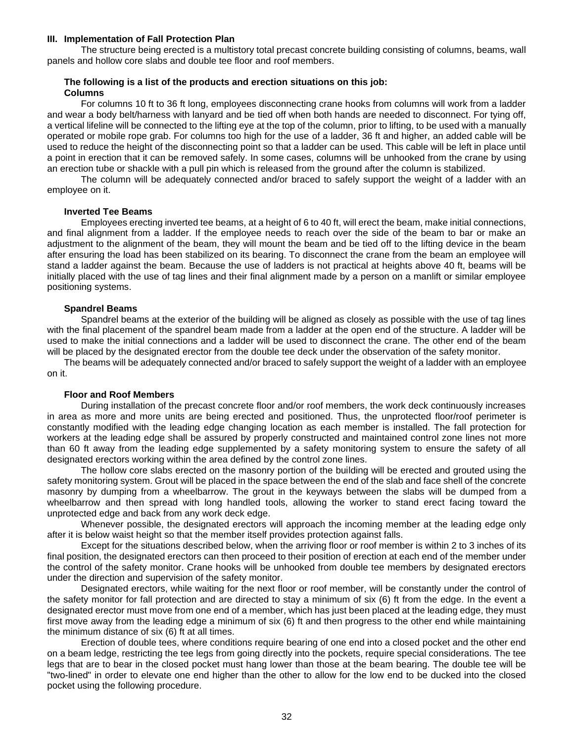#### **III. Implementation of Fall Protection Plan**

The structure being erected is a multistory total precast concrete building consisting of columns, beams, wall panels and hollow core slabs and double tee floor and roof members.

#### **The following is a list of the products and erection situations on this job: Columns**

For columns 10 ft to 36 ft long, employees disconnecting crane hooks from columns will work from a ladder and wear a body belt/harness with lanyard and be tied off when both hands are needed to disconnect. For tying off, a vertical lifeline will be connected to the lifting eye at the top of the column, prior to lifting, to be used with a manually operated or mobile rope grab. For columns too high for the use of a ladder, 36 ft and higher, an added cable will be used to reduce the height of the disconnecting point so that a ladder can be used. This cable will be left in place until a point in erection that it can be removed safely. In some cases, columns will be unhooked from the crane by using an erection tube or shackle with a pull pin which is released from the ground after the column is stabilized.

The column will be adequately connected and/or braced to safely support the weight of a ladder with an employee on it.

#### **Inverted Tee Beams**

Employees erecting inverted tee beams, at a height of 6 to 40 ft, will erect the beam, make initial connections, and final alignment from a ladder. If the employee needs to reach over the side of the beam to bar or make an adjustment to the alignment of the beam, they will mount the beam and be tied off to the lifting device in the beam after ensuring the load has been stabilized on its bearing. To disconnect the crane from the beam an employee will stand a ladder against the beam. Because the use of ladders is not practical at heights above 40 ft, beams will be initially placed with the use of tag lines and their final alignment made by a person on a manlift or similar employee positioning systems.

#### **Spandrel Beams**

Spandrel beams at the exterior of the building will be aligned as closely as possible with the use of tag lines with the final placement of the spandrel beam made from a ladder at the open end of the structure. A ladder will be used to make the initial connections and a ladder will be used to disconnect the crane. The other end of the beam will be placed by the designated erector from the double tee deck under the observation of the safety monitor.

The beams will be adequately connected and/or braced to safely support the weight of a ladder with an employee on it.

#### **Floor and Roof Members**

During installation of the precast concrete floor and/or roof members, the work deck continuously increases in area as more and more units are being erected and positioned. Thus, the unprotected floor/roof perimeter is constantly modified with the leading edge changing location as each member is installed. The fall protection for workers at the leading edge shall be assured by properly constructed and maintained control zone lines not more than 60 ft away from the leading edge supplemented by a safety monitoring system to ensure the safety of all designated erectors working within the area defined by the control zone lines.

The hollow core slabs erected on the masonry portion of the building will be erected and grouted using the safety monitoring system. Grout will be placed in the space between the end of the slab and face shell of the concrete masonry by dumping from a wheelbarrow. The grout in the keyways between the slabs will be dumped from a wheelbarrow and then spread with long handled tools, allowing the worker to stand erect facing toward the unprotected edge and back from any work deck edge.

Whenever possible, the designated erectors will approach the incoming member at the leading edge only after it is below waist height so that the member itself provides protection against falls.

Except for the situations described below, when the arriving floor or roof member is within 2 to 3 inches of its final position, the designated erectors can then proceed to their position of erection at each end of the member under the control of the safety monitor. Crane hooks will be unhooked from double tee members by designated erectors under the direction and supervision of the safety monitor.

Designated erectors, while waiting for the next floor or roof member, will be constantly under the control of the safety monitor for fall protection and are directed to stay a minimum of six (6) ft from the edge. In the event a designated erector must move from one end of a member, which has just been placed at the leading edge, they must first move away from the leading edge a minimum of six (6) ft and then progress to the other end while maintaining the minimum distance of six (6) ft at all times.

Erection of double tees, where conditions require bearing of one end into a closed pocket and the other end on a beam ledge, restricting the tee legs from going directly into the pockets, require special considerations. The tee legs that are to bear in the closed pocket must hang lower than those at the beam bearing. The double tee will be "two-lined" in order to elevate one end higher than the other to allow for the low end to be ducked into the closed pocket using the following procedure.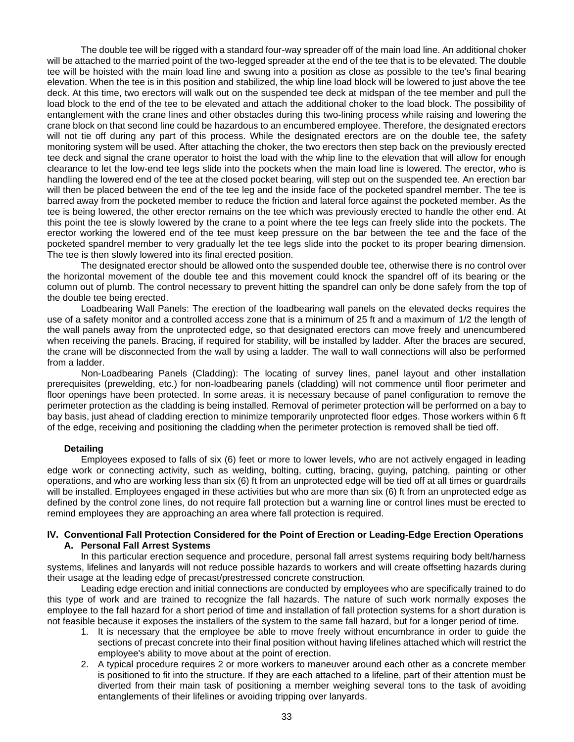The double tee will be rigged with a standard four-way spreader off of the main load line. An additional choker will be attached to the married point of the two-legged spreader at the end of the tee that is to be elevated. The double tee will be hoisted with the main load line and swung into a position as close as possible to the tee's final bearing elevation. When the tee is in this position and stabilized, the whip line load block will be lowered to just above the tee deck. At this time, two erectors will walk out on the suspended tee deck at midspan of the tee member and pull the load block to the end of the tee to be elevated and attach the additional choker to the load block. The possibility of entanglement with the crane lines and other obstacles during this two-lining process while raising and lowering the crane block on that second line could be hazardous to an encumbered employee. Therefore, the designated erectors will not tie off during any part of this process. While the designated erectors are on the double tee, the safety monitoring system will be used. After attaching the choker, the two erectors then step back on the previously erected tee deck and signal the crane operator to hoist the load with the whip line to the elevation that will allow for enough clearance to let the low-end tee legs slide into the pockets when the main load line is lowered. The erector, who is handling the lowered end of the tee at the closed pocket bearing, will step out on the suspended tee. An erection bar will then be placed between the end of the tee leg and the inside face of the pocketed spandrel member. The tee is barred away from the pocketed member to reduce the friction and lateral force against the pocketed member. As the tee is being lowered, the other erector remains on the tee which was previously erected to handle the other end. At this point the tee is slowly lowered by the crane to a point where the tee legs can freely slide into the pockets. The erector working the lowered end of the tee must keep pressure on the bar between the tee and the face of the pocketed spandrel member to very gradually let the tee legs slide into the pocket to its proper bearing dimension. The tee is then slowly lowered into its final erected position.

The designated erector should be allowed onto the suspended double tee, otherwise there is no control over the horizontal movement of the double tee and this movement could knock the spandrel off of its bearing or the column out of plumb. The control necessary to prevent hitting the spandrel can only be done safely from the top of the double tee being erected.

Loadbearing Wall Panels: The erection of the loadbearing wall panels on the elevated decks requires the use of a safety monitor and a controlled access zone that is a minimum of 25 ft and a maximum of 1/2 the length of the wall panels away from the unprotected edge, so that designated erectors can move freely and unencumbered when receiving the panels. Bracing, if required for stability, will be installed by ladder. After the braces are secured, the crane will be disconnected from the wall by using a ladder. The wall to wall connections will also be performed from a ladder.

Non-Loadbearing Panels (Cladding): The locating of survey lines, panel layout and other installation prerequisites (prewelding, etc.) for non-loadbearing panels (cladding) will not commence until floor perimeter and floor openings have been protected. In some areas, it is necessary because of panel configuration to remove the perimeter protection as the cladding is being installed. Removal of perimeter protection will be performed on a bay to bay basis, just ahead of cladding erection to minimize temporarily unprotected floor edges. Those workers within 6 ft of the edge, receiving and positioning the cladding when the perimeter protection is removed shall be tied off.

#### **Detailing**

Employees exposed to falls of six (6) feet or more to lower levels, who are not actively engaged in leading edge work or connecting activity, such as welding, bolting, cutting, bracing, guying, patching, painting or other operations, and who are working less than six (6) ft from an unprotected edge will be tied off at all times or guardrails will be installed. Employees engaged in these activities but who are more than six (6) ft from an unprotected edge as defined by the control zone lines, do not require fall protection but a warning line or control lines must be erected to remind employees they are approaching an area where fall protection is required.

#### <span id="page-32-0"></span>**IV. Conventional Fall Protection Considered for the Point of Erection or Leading-Edge Erection Operations A. Personal Fall Arrest Systems**

In this particular erection sequence and procedure, personal fall arrest systems requiring body belt/harness systems, lifelines and lanyards will not reduce possible hazards to workers and will create offsetting hazards during their usage at the leading edge of precast/prestressed concrete construction.

Leading edge erection and initial connections are conducted by employees who are specifically trained to do this type of work and are trained to recognize the fall hazards. The nature of such work normally exposes the employee to the fall hazard for a short period of time and installation of fall protection systems for a short duration is not feasible because it exposes the installers of the system to the same fall hazard, but for a longer period of time.

- 1. It is necessary that the employee be able to move freely without encumbrance in order to guide the sections of precast concrete into their final position without having lifelines attached which will restrict the employee's ability to move about at the point of erection.
- 2. A typical procedure requires 2 or more workers to maneuver around each other as a concrete member is positioned to fit into the structure. If they are each attached to a lifeline, part of their attention must be diverted from their main task of positioning a member weighing several tons to the task of avoiding entanglements of their lifelines or avoiding tripping over lanyards.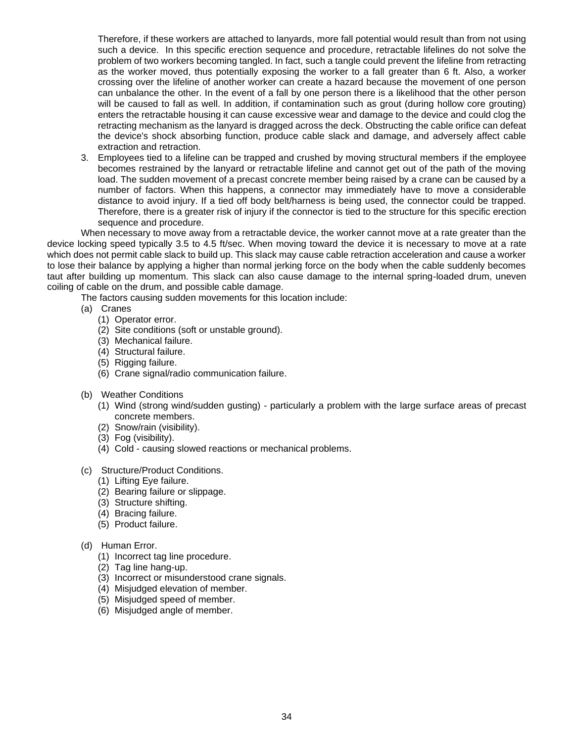Therefore, if these workers are attached to lanyards, more fall potential would result than from not using such a device. In this specific erection sequence and procedure, retractable lifelines do not solve the problem of two workers becoming tangled. In fact, such a tangle could prevent the lifeline from retracting as the worker moved, thus potentially exposing the worker to a fall greater than 6 ft. Also, a worker crossing over the lifeline of another worker can create a hazard because the movement of one person can unbalance the other. In the event of a fall by one person there is a likelihood that the other person will be caused to fall as well. In addition, if contamination such as grout (during hollow core grouting) enters the retractable housing it can cause excessive wear and damage to the device and could clog the retracting mechanism as the lanyard is dragged across the deck. Obstructing the cable orifice can defeat the device's shock absorbing function, produce cable slack and damage, and adversely affect cable extraction and retraction.

3. Employees tied to a lifeline can be trapped and crushed by moving structural members if the employee becomes restrained by the lanyard or retractable lifeline and cannot get out of the path of the moving load. The sudden movement of a precast concrete member being raised by a crane can be caused by a number of factors. When this happens, a connector may immediately have to move a considerable distance to avoid injury. If a tied off body belt/harness is being used, the connector could be trapped. Therefore, there is a greater risk of injury if the connector is tied to the structure for this specific erection sequence and procedure.

When necessary to move away from a retractable device, the worker cannot move at a rate greater than the device locking speed typically 3.5 to 4.5 ft/sec. When moving toward the device it is necessary to move at a rate which does not permit cable slack to build up. This slack may cause cable retraction acceleration and cause a worker to lose their balance by applying a higher than normal jerking force on the body when the cable suddenly becomes taut after building up momentum. This slack can also cause damage to the internal spring-loaded drum, uneven coiling of cable on the drum, and possible cable damage.

The factors causing sudden movements for this location include:

- (a) Cranes
	- (1) Operator error.
		- (2) Site conditions (soft or unstable ground).
	- (3) Mechanical failure.
	- (4) Structural failure.
	- (5) Rigging failure.
	- (6) Crane signal/radio communication failure.
- (b) Weather Conditions
	- (1) Wind (strong wind/sudden gusting) particularly a problem with the large surface areas of precast concrete members.
	- (2) Snow/rain (visibility).
	- (3) Fog (visibility).
	- (4) Cold causing slowed reactions or mechanical problems.
- (c) Structure/Product Conditions.
	- (1) Lifting Eye failure.
	- (2) Bearing failure or slippage.
	- (3) Structure shifting.
	- (4) Bracing failure.
	- (5) Product failure.
- (d) Human Error.
	- (1) Incorrect tag line procedure.
	- (2) Tag line hang-up.
	- (3) Incorrect or misunderstood crane signals.
	- (4) Misjudged elevation of member.
	- (5) Misjudged speed of member.
	- (6) Misjudged angle of member.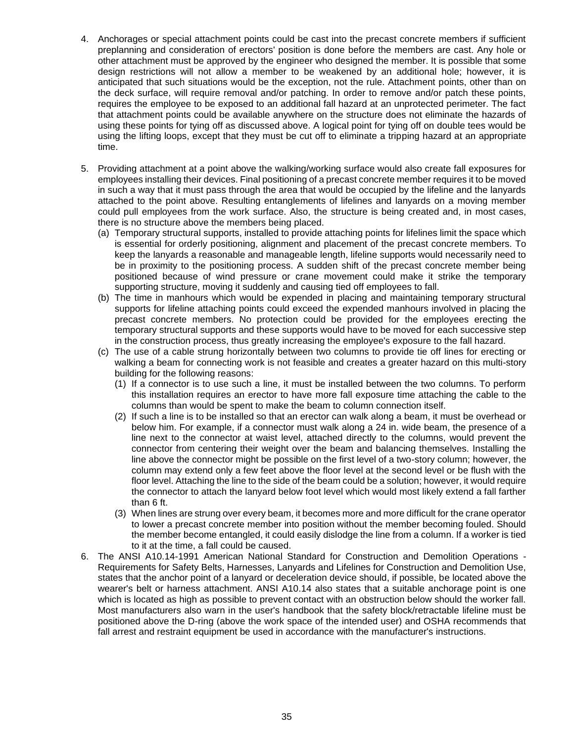- 4. Anchorages or special attachment points could be cast into the precast concrete members if sufficient preplanning and consideration of erectors' position is done before the members are cast. Any hole or other attachment must be approved by the engineer who designed the member. It is possible that some design restrictions will not allow a member to be weakened by an additional hole; however, it is anticipated that such situations would be the exception, not the rule. Attachment points, other than on the deck surface, will require removal and/or patching. In order to remove and/or patch these points, requires the employee to be exposed to an additional fall hazard at an unprotected perimeter. The fact that attachment points could be available anywhere on the structure does not eliminate the hazards of using these points for tying off as discussed above. A logical point for tying off on double tees would be using the lifting loops, except that they must be cut off to eliminate a tripping hazard at an appropriate time.
- 5. Providing attachment at a point above the walking/working surface would also create fall exposures for employees installing their devices. Final positioning of a precast concrete member requires it to be moved in such a way that it must pass through the area that would be occupied by the lifeline and the lanyards attached to the point above. Resulting entanglements of lifelines and lanyards on a moving member could pull employees from the work surface. Also, the structure is being created and, in most cases, there is no structure above the members being placed.
	- (a) Temporary structural supports, installed to provide attaching points for lifelines limit the space which is essential for orderly positioning, alignment and placement of the precast concrete members. To keep the lanyards a reasonable and manageable length, lifeline supports would necessarily need to be in proximity to the positioning process. A sudden shift of the precast concrete member being positioned because of wind pressure or crane movement could make it strike the temporary supporting structure, moving it suddenly and causing tied off employees to fall.
	- (b) The time in manhours which would be expended in placing and maintaining temporary structural supports for lifeline attaching points could exceed the expended manhours involved in placing the precast concrete members. No protection could be provided for the employees erecting the temporary structural supports and these supports would have to be moved for each successive step in the construction process, thus greatly increasing the employee's exposure to the fall hazard.
	- (c) The use of a cable strung horizontally between two columns to provide tie off lines for erecting or walking a beam for connecting work is not feasible and creates a greater hazard on this multi-story building for the following reasons:
		- (1) If a connector is to use such a line, it must be installed between the two columns. To perform this installation requires an erector to have more fall exposure time attaching the cable to the columns than would be spent to make the beam to column connection itself.
		- (2) If such a line is to be installed so that an erector can walk along a beam, it must be overhead or below him. For example, if a connector must walk along a 24 in. wide beam, the presence of a line next to the connector at waist level, attached directly to the columns, would prevent the connector from centering their weight over the beam and balancing themselves. Installing the line above the connector might be possible on the first level of a two-story column; however, the column may extend only a few feet above the floor level at the second level or be flush with the floor level. Attaching the line to the side of the beam could be a solution; however, it would require the connector to attach the lanyard below foot level which would most likely extend a fall farther than 6 ft.
		- (3) When lines are strung over every beam, it becomes more and more difficult for the crane operator to lower a precast concrete member into position without the member becoming fouled. Should the member become entangled, it could easily dislodge the line from a column. If a worker is tied to it at the time, a fall could be caused.
- 6. The ANSI A10.14-1991 American National Standard for Construction and Demolition Operations Requirements for Safety Belts, Harnesses, Lanyards and Lifelines for Construction and Demolition Use, states that the anchor point of a lanyard or deceleration device should, if possible, be located above the wearer's belt or harness attachment. ANSI A10.14 also states that a suitable anchorage point is one which is located as high as possible to prevent contact with an obstruction below should the worker fall. Most manufacturers also warn in the user's handbook that the safety block/retractable lifeline must be positioned above the D-ring (above the work space of the intended user) and OSHA recommends that fall arrest and restraint equipment be used in accordance with the manufacturer's instructions.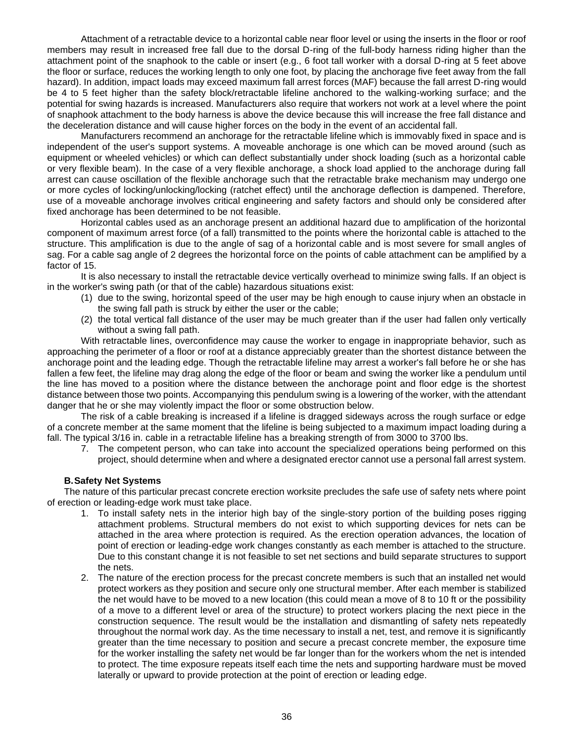Attachment of a retractable device to a horizontal cable near floor level or using the inserts in the floor or roof members may result in increased free fall due to the dorsal D-ring of the full-body harness riding higher than the attachment point of the snaphook to the cable or insert (e.g., 6 foot tall worker with a dorsal D-ring at 5 feet above the floor or surface, reduces the working length to only one foot, by placing the anchorage five feet away from the fall hazard). In addition, impact loads may exceed maximum fall arrest forces (MAF) because the fall arrest D-ring would be 4 to 5 feet higher than the safety block/retractable lifeline anchored to the walking-working surface; and the potential for swing hazards is increased. Manufacturers also require that workers not work at a level where the point of snaphook attachment to the body harness is above the device because this will increase the free fall distance and the deceleration distance and will cause higher forces on the body in the event of an accidental fall.

Manufacturers recommend an anchorage for the retractable lifeline which is immovably fixed in space and is independent of the user's support systems. A moveable anchorage is one which can be moved around (such as equipment or wheeled vehicles) or which can deflect substantially under shock loading (such as a horizontal cable or very flexible beam). In the case of a very flexible anchorage, a shock load applied to the anchorage during fall arrest can cause oscillation of the flexible anchorage such that the retractable brake mechanism may undergo one or more cycles of locking/unlocking/locking (ratchet effect) until the anchorage deflection is dampened. Therefore, use of a moveable anchorage involves critical engineering and safety factors and should only be considered after fixed anchorage has been determined to be not feasible.

Horizontal cables used as an anchorage present an additional hazard due to amplification of the horizontal component of maximum arrest force (of a fall) transmitted to the points where the horizontal cable is attached to the structure. This amplification is due to the angle of sag of a horizontal cable and is most severe for small angles of sag. For a cable sag angle of 2 degrees the horizontal force on the points of cable attachment can be amplified by a factor of 15.

It is also necessary to install the retractable device vertically overhead to minimize swing falls. If an object is in the worker's swing path (or that of the cable) hazardous situations exist:

- (1) due to the swing, horizontal speed of the user may be high enough to cause injury when an obstacle in the swing fall path is struck by either the user or the cable;
- (2) the total vertical fall distance of the user may be much greater than if the user had fallen only vertically without a swing fall path.

With retractable lines, overconfidence may cause the worker to engage in inappropriate behavior, such as approaching the perimeter of a floor or roof at a distance appreciably greater than the shortest distance between the anchorage point and the leading edge. Though the retractable lifeline may arrest a worker's fall before he or she has fallen a few feet, the lifeline may drag along the edge of the floor or beam and swing the worker like a pendulum until the line has moved to a position where the distance between the anchorage point and floor edge is the shortest distance between those two points. Accompanying this pendulum swing is a lowering of the worker, with the attendant danger that he or she may violently impact the floor or some obstruction below.

The risk of a cable breaking is increased if a lifeline is dragged sideways across the rough surface or edge of a concrete member at the same moment that the lifeline is being subjected to a maximum impact loading during a fall. The typical 3/16 in. cable in a retractable lifeline has a breaking strength of from 3000 to 3700 lbs.

7. The competent person, who can take into account the specialized operations being performed on this project, should determine when and where a designated erector cannot use a personal fall arrest system.

#### **B.Safety Net Systems**

The nature of this particular precast concrete erection worksite precludes the safe use of safety nets where point of erection or leading-edge work must take place.

- 1. To install safety nets in the interior high bay of the single-story portion of the building poses rigging attachment problems. Structural members do not exist to which supporting devices for nets can be attached in the area where protection is required. As the erection operation advances, the location of point of erection or leading-edge work changes constantly as each member is attached to the structure. Due to this constant change it is not feasible to set net sections and build separate structures to support the nets.
- 2. The nature of the erection process for the precast concrete members is such that an installed net would protect workers as they position and secure only one structural member. After each member is stabilized the net would have to be moved to a new location (this could mean a move of 8 to 10 ft or the possibility of a move to a different level or area of the structure) to protect workers placing the next piece in the construction sequence. The result would be the installation and dismantling of safety nets repeatedly throughout the normal work day. As the time necessary to install a net, test, and remove it is significantly greater than the time necessary to position and secure a precast concrete member, the exposure time for the worker installing the safety net would be far longer than for the workers whom the net is intended to protect. The time exposure repeats itself each time the nets and supporting hardware must be moved laterally or upward to provide protection at the point of erection or leading edge.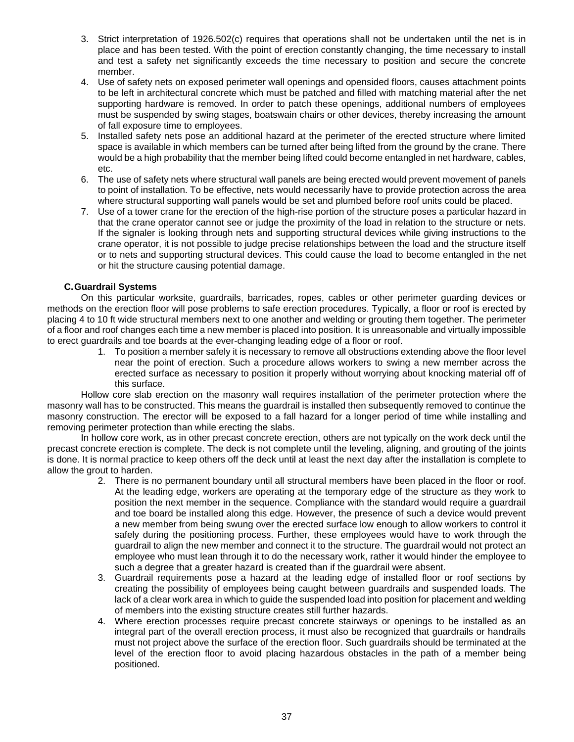- 3. Strict interpretation of 1926.502(c) requires that operations shall not be undertaken until the net is in place and has been tested. With the point of erection constantly changing, the time necessary to install and test a safety net significantly exceeds the time necessary to position and secure the concrete member.
- 4. Use of safety nets on exposed perimeter wall openings and opensided floors, causes attachment points to be left in architectural concrete which must be patched and filled with matching material after the net supporting hardware is removed. In order to patch these openings, additional numbers of employees must be suspended by swing stages, boatswain chairs or other devices, thereby increasing the amount of fall exposure time to employees.
- 5. Installed safety nets pose an additional hazard at the perimeter of the erected structure where limited space is available in which members can be turned after being lifted from the ground by the crane. There would be a high probability that the member being lifted could become entangled in net hardware, cables, etc.
- 6. The use of safety nets where structural wall panels are being erected would prevent movement of panels to point of installation. To be effective, nets would necessarily have to provide protection across the area where structural supporting wall panels would be set and plumbed before roof units could be placed.
- 7. Use of a tower crane for the erection of the high-rise portion of the structure poses a particular hazard in that the crane operator cannot see or judge the proximity of the load in relation to the structure or nets. If the signaler is looking through nets and supporting structural devices while giving instructions to the crane operator, it is not possible to judge precise relationships between the load and the structure itself or to nets and supporting structural devices. This could cause the load to become entangled in the net or hit the structure causing potential damage.

### **C.Guardrail Systems**

On this particular worksite, guardrails, barricades, ropes, cables or other perimeter guarding devices or methods on the erection floor will pose problems to safe erection procedures. Typically, a floor or roof is erected by placing 4 to 10 ft wide structural members next to one another and welding or grouting them together. The perimeter of a floor and roof changes each time a new member is placed into position. It is unreasonable and virtually impossible to erect guardrails and toe boards at the ever-changing leading edge of a floor or roof.

1. To position a member safely it is necessary to remove all obstructions extending above the floor level near the point of erection. Such a procedure allows workers to swing a new member across the erected surface as necessary to position it properly without worrying about knocking material off of this surface.

Hollow core slab erection on the masonry wall requires installation of the perimeter protection where the masonry wall has to be constructed. This means the guardrail is installed then subsequently removed to continue the masonry construction. The erector will be exposed to a fall hazard for a longer period of time while installing and removing perimeter protection than while erecting the slabs.

In hollow core work, as in other precast concrete erection, others are not typically on the work deck until the precast concrete erection is complete. The deck is not complete until the leveling, aligning, and grouting of the joints is done. It is normal practice to keep others off the deck until at least the next day after the installation is complete to allow the grout to harden.

- 2. There is no permanent boundary until all structural members have been placed in the floor or roof. At the leading edge, workers are operating at the temporary edge of the structure as they work to position the next member in the sequence. Compliance with the standard would require a guardrail and toe board be installed along this edge. However, the presence of such a device would prevent a new member from being swung over the erected surface low enough to allow workers to control it safely during the positioning process. Further, these employees would have to work through the guardrail to align the new member and connect it to the structure. The guardrail would not protect an employee who must lean through it to do the necessary work, rather it would hinder the employee to such a degree that a greater hazard is created than if the guardrail were absent.
- 3. Guardrail requirements pose a hazard at the leading edge of installed floor or roof sections by creating the possibility of employees being caught between guardrails and suspended loads. The lack of a clear work area in which to guide the suspended load into position for placement and welding of members into the existing structure creates still further hazards.
- <span id="page-36-0"></span>4. Where erection processes require precast concrete stairways or openings to be installed as an integral part of the overall erection process, it must also be recognized that guardrails or handrails must not project above the surface of the erection floor. Such guardrails should be terminated at the level of the erection floor to avoid placing hazardous obstacles in the path of a member being positioned.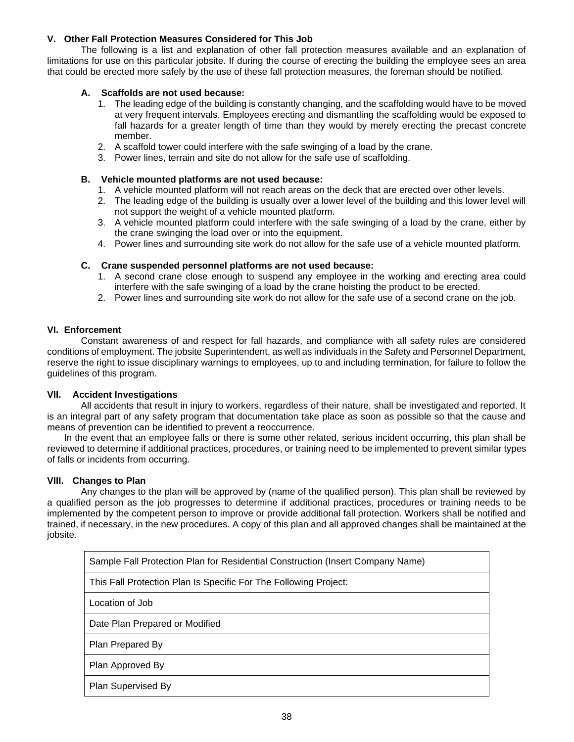#### **V. Other Fall Protection Measures Considered for This Job**

The following is a list and explanation of other fall protection measures available and an explanation of limitations for use on this particular jobsite. If during the course of erecting the building the employee sees an area that could be erected more safely by the use of these fall protection measures, the foreman should be notified.

#### **A. Scaffolds are not used because:**

- 1. The leading edge of the building is constantly changing, and the scaffolding would have to be moved at very frequent intervals. Employees erecting and dismantling the scaffolding would be exposed to fall hazards for a greater length of time than they would by merely erecting the precast concrete member.
- 2. A scaffold tower could interfere with the safe swinging of a load by the crane.
- 3. Power lines, terrain and site do not allow for the safe use of scaffolding.

#### **B. Vehicle mounted platforms are not used because:**

- 1. A vehicle mounted platform will not reach areas on the deck that are erected over other levels.
- 2. The leading edge of the building is usually over a lower level of the building and this lower level will not support the weight of a vehicle mounted platform.
- 3. A vehicle mounted platform could interfere with the safe swinging of a load by the crane, either by the crane swinging the load over or into the equipment.
- 4. Power lines and surrounding site work do not allow for the safe use of a vehicle mounted platform.

#### **C. Crane suspended personnel platforms are not used because:**

- 1. A second crane close enough to suspend any employee in the working and erecting area could interfere with the safe swinging of a load by the crane hoisting the product to be erected.
- 2. Power lines and surrounding site work do not allow for the safe use of a second crane on the job.

#### <span id="page-37-0"></span>**VI. Enforcement**

Constant awareness of and respect for fall hazards, and compliance with all safety rules are considered conditions of employment. The jobsite Superintendent, as well as individuals in the Safety and Personnel Department, reserve the right to issue disciplinary warnings to employees, up to and including termination, for failure to follow the guidelines of this program.

#### <span id="page-37-1"></span>**VII. Accident Investigations**

All accidents that result in injury to workers, regardless of their nature, shall be investigated and reported. It is an integral part of any safety program that documentation take place as soon as possible so that the cause and means of prevention can be identified to prevent a reoccurrence.

In the event that an employee falls or there is some other related, serious incident occurring, this plan shall be reviewed to determine if additional practices, procedures, or training need to be implemented to prevent similar types of falls or incidents from occurring.

#### <span id="page-37-2"></span>**VIII. Changes to Plan**

Any changes to the plan will be approved by (name of the qualified person). This plan shall be reviewed by a qualified person as the job progresses to determine if additional practices, procedures or training needs to be implemented by the competent person to improve or provide additional fall protection. Workers shall be notified and trained, if necessary, in the new procedures. A copy of this plan and all approved changes shall be maintained at the iobsite.

Sample Fall Protection Plan for Residential Construction (Insert Company Name)

This Fall Protection Plan Is Specific For The Following Project:

Location of Job

Date Plan Prepared or Modified

Plan Prepared By

Plan Approved By

Plan Supervised By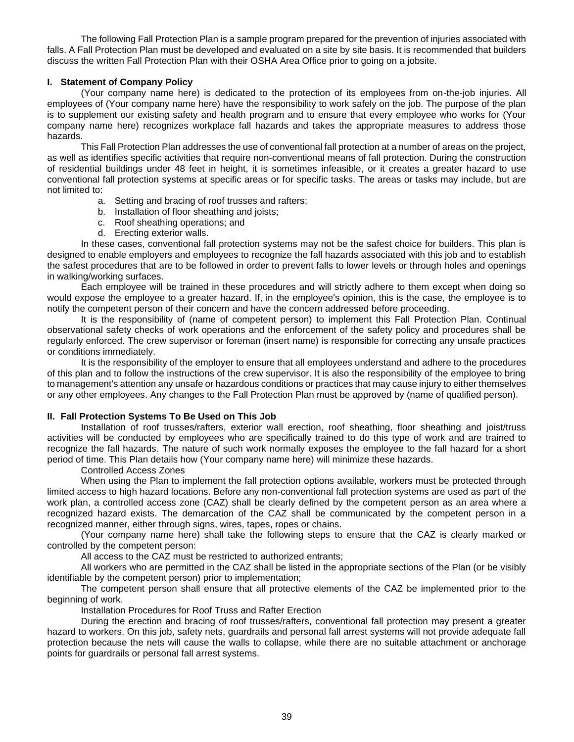The following Fall Protection Plan is a sample program prepared for the prevention of injuries associated with falls. A Fall Protection Plan must be developed and evaluated on a site by site basis. It is recommended that builders discuss the written Fall Protection Plan with their OSHA Area Office prior to going on a jobsite.

#### **I. Statement of Company Policy**

(Your company name here) is dedicated to the protection of its employees from on-the-job injuries. All employees of (Your company name here) have the responsibility to work safely on the job. The purpose of the plan is to supplement our existing safety and health program and to ensure that every employee who works for (Your company name here) recognizes workplace fall hazards and takes the appropriate measures to address those hazards.

This Fall Protection Plan addresses the use of conventional fall protection at a number of areas on the project, as well as identifies specific activities that require non-conventional means of fall protection. During the construction of residential buildings under 48 feet in height, it is sometimes infeasible, or it creates a greater hazard to use conventional fall protection systems at specific areas or for specific tasks. The areas or tasks may include, but are not limited to:

- a. Setting and bracing of roof trusses and rafters;
- b. Installation of floor sheathing and joists;
- c. Roof sheathing operations; and
- d. Erecting exterior walls.

In these cases, conventional fall protection systems may not be the safest choice for builders. This plan is designed to enable employers and employees to recognize the fall hazards associated with this job and to establish the safest procedures that are to be followed in order to prevent falls to lower levels or through holes and openings in walking/working surfaces.

Each employee will be trained in these procedures and will strictly adhere to them except when doing so would expose the employee to a greater hazard. If, in the employee's opinion, this is the case, the employee is to notify the competent person of their concern and have the concern addressed before proceeding.

It is the responsibility of (name of competent person) to implement this Fall Protection Plan. Continual observational safety checks of work operations and the enforcement of the safety policy and procedures shall be regularly enforced. The crew supervisor or foreman (insert name) is responsible for correcting any unsafe practices or conditions immediately.

It is the responsibility of the employer to ensure that all employees understand and adhere to the procedures of this plan and to follow the instructions of the crew supervisor. It is also the responsibility of the employee to bring to management's attention any unsafe or hazardous conditions or practices that may cause injury to either themselves or any other employees. Any changes to the Fall Protection Plan must be approved by (name of qualified person).

#### **II. Fall Protection Systems To Be Used on This Job**

Installation of roof trusses/rafters, exterior wall erection, roof sheathing, floor sheathing and joist/truss activities will be conducted by employees who are specifically trained to do this type of work and are trained to recognize the fall hazards. The nature of such work normally exposes the employee to the fall hazard for a short period of time. This Plan details how (Your company name here) will minimize these hazards.

#### Controlled Access Zones

When using the Plan to implement the fall protection options available, workers must be protected through limited access to high hazard locations. Before any non-conventional fall protection systems are used as part of the work plan, a controlled access zone (CAZ) shall be clearly defined by the competent person as an area where a recognized hazard exists. The demarcation of the CAZ shall be communicated by the competent person in a recognized manner, either through signs, wires, tapes, ropes or chains.

(Your company name here) shall take the following steps to ensure that the CAZ is clearly marked or controlled by the competent person:

All access to the CAZ must be restricted to authorized entrants;

All workers who are permitted in the CAZ shall be listed in the appropriate sections of the Plan (or be visibly identifiable by the competent person) prior to implementation;

The competent person shall ensure that all protective elements of the CAZ be implemented prior to the beginning of work.

Installation Procedures for Roof Truss and Rafter Erection

During the erection and bracing of roof trusses/rafters, conventional fall protection may present a greater hazard to workers. On this job, safety nets, guardrails and personal fall arrest systems will not provide adequate fall protection because the nets will cause the walls to collapse, while there are no suitable attachment or anchorage points for guardrails or personal fall arrest systems.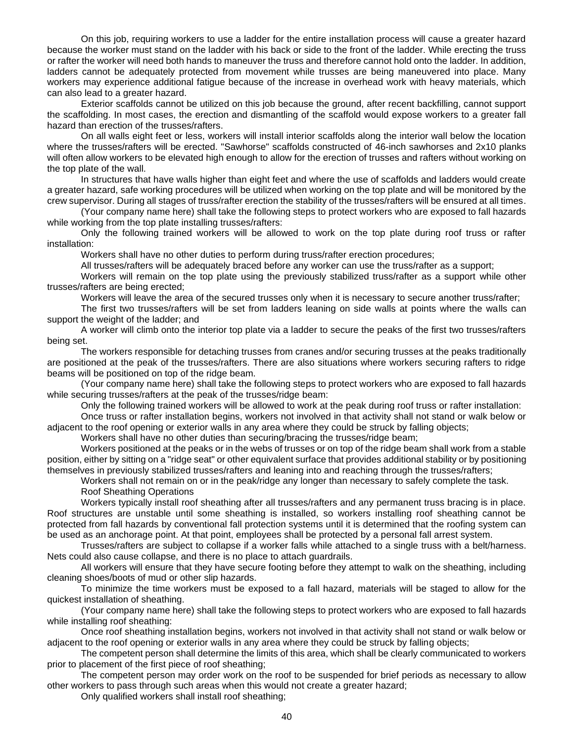On this job, requiring workers to use a ladder for the entire installation process will cause a greater hazard because the worker must stand on the ladder with his back or side to the front of the ladder. While erecting the truss or rafter the worker will need both hands to maneuver the truss and therefore cannot hold onto the ladder. In addition, ladders cannot be adequately protected from movement while trusses are being maneuvered into place. Many workers may experience additional fatigue because of the increase in overhead work with heavy materials, which can also lead to a greater hazard.

Exterior scaffolds cannot be utilized on this job because the ground, after recent backfilling, cannot support the scaffolding. In most cases, the erection and dismantling of the scaffold would expose workers to a greater fall hazard than erection of the trusses/rafters.

On all walls eight feet or less, workers will install interior scaffolds along the interior wall below the location where the trusses/rafters will be erected. "Sawhorse" scaffolds constructed of 46-inch sawhorses and 2x10 planks will often allow workers to be elevated high enough to allow for the erection of trusses and rafters without working on the top plate of the wall.

In structures that have walls higher than eight feet and where the use of scaffolds and ladders would create a greater hazard, safe working procedures will be utilized when working on the top plate and will be monitored by the crew supervisor. During all stages of truss/rafter erection the stability of the trusses/rafters will be ensured at all times.

(Your company name here) shall take the following steps to protect workers who are exposed to fall hazards while working from the top plate installing trusses/rafters:

Only the following trained workers will be allowed to work on the top plate during roof truss or rafter installation:

Workers shall have no other duties to perform during truss/rafter erection procedures;

All trusses/rafters will be adequately braced before any worker can use the truss/rafter as a support;

Workers will remain on the top plate using the previously stabilized truss/rafter as a support while other trusses/rafters are being erected;

Workers will leave the area of the secured trusses only when it is necessary to secure another truss/rafter;

The first two trusses/rafters will be set from ladders leaning on side walls at points where the walls can support the weight of the ladder; and

A worker will climb onto the interior top plate via a ladder to secure the peaks of the first two trusses/rafters being set.

The workers responsible for detaching trusses from cranes and/or securing trusses at the peaks traditionally are positioned at the peak of the trusses/rafters. There are also situations where workers securing rafters to ridge beams will be positioned on top of the ridge beam.

(Your company name here) shall take the following steps to protect workers who are exposed to fall hazards while securing trusses/rafters at the peak of the trusses/ridge beam:

Only the following trained workers will be allowed to work at the peak during roof truss or rafter installation:

Once truss or rafter installation begins, workers not involved in that activity shall not stand or walk below or adjacent to the roof opening or exterior walls in any area where they could be struck by falling objects;

Workers shall have no other duties than securing/bracing the trusses/ridge beam;

Workers positioned at the peaks or in the webs of trusses or on top of the ridge beam shall work from a stable position, either by sitting on a "ridge seat" or other equivalent surface that provides additional stability or by positioning themselves in previously stabilized trusses/rafters and leaning into and reaching through the trusses/rafters;

Workers shall not remain on or in the peak/ridge any longer than necessary to safely complete the task. Roof Sheathing Operations

Workers typically install roof sheathing after all trusses/rafters and any permanent truss bracing is in place. Roof structures are unstable until some sheathing is installed, so workers installing roof sheathing cannot be protected from fall hazards by conventional fall protection systems until it is determined that the roofing system can be used as an anchorage point. At that point, employees shall be protected by a personal fall arrest system.

Trusses/rafters are subject to collapse if a worker falls while attached to a single truss with a belt/harness. Nets could also cause collapse, and there is no place to attach guardrails.

All workers will ensure that they have secure footing before they attempt to walk on the sheathing, including cleaning shoes/boots of mud or other slip hazards.

To minimize the time workers must be exposed to a fall hazard, materials will be staged to allow for the quickest installation of sheathing.

(Your company name here) shall take the following steps to protect workers who are exposed to fall hazards while installing roof sheathing:

Once roof sheathing installation begins, workers not involved in that activity shall not stand or walk below or adjacent to the roof opening or exterior walls in any area where they could be struck by falling objects;

The competent person shall determine the limits of this area, which shall be clearly communicated to workers prior to placement of the first piece of roof sheathing;

The competent person may order work on the roof to be suspended for brief periods as necessary to allow other workers to pass through such areas when this would not create a greater hazard;

Only qualified workers shall install roof sheathing;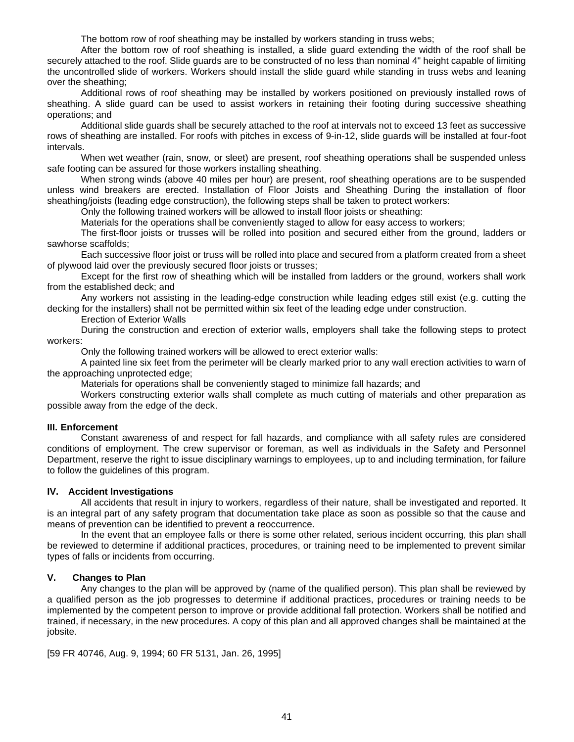The bottom row of roof sheathing may be installed by workers standing in truss webs;

After the bottom row of roof sheathing is installed, a slide guard extending the width of the roof shall be securely attached to the roof. Slide guards are to be constructed of no less than nominal 4" height capable of limiting the uncontrolled slide of workers. Workers should install the slide guard while standing in truss webs and leaning over the sheathing;

Additional rows of roof sheathing may be installed by workers positioned on previously installed rows of sheathing. A slide guard can be used to assist workers in retaining their footing during successive sheathing operations; and

Additional slide guards shall be securely attached to the roof at intervals not to exceed 13 feet as successive rows of sheathing are installed. For roofs with pitches in excess of 9-in-12, slide guards will be installed at four-foot intervals.

When wet weather (rain, snow, or sleet) are present, roof sheathing operations shall be suspended unless safe footing can be assured for those workers installing sheathing.

When strong winds (above 40 miles per hour) are present, roof sheathing operations are to be suspended unless wind breakers are erected. Installation of Floor Joists and Sheathing During the installation of floor sheathing/joists (leading edge construction), the following steps shall be taken to protect workers:

Only the following trained workers will be allowed to install floor joists or sheathing:

Materials for the operations shall be conveniently staged to allow for easy access to workers;

The first-floor joists or trusses will be rolled into position and secured either from the ground, ladders or sawhorse scaffolds;

Each successive floor joist or truss will be rolled into place and secured from a platform created from a sheet of plywood laid over the previously secured floor joists or trusses;

Except for the first row of sheathing which will be installed from ladders or the ground, workers shall work from the established deck; and

Any workers not assisting in the leading-edge construction while leading edges still exist (e.g. cutting the decking for the installers) shall not be permitted within six feet of the leading edge under construction.

Erection of Exterior Walls

During the construction and erection of exterior walls, employers shall take the following steps to protect workers:

Only the following trained workers will be allowed to erect exterior walls:

A painted line six feet from the perimeter will be clearly marked prior to any wall erection activities to warn of the approaching unprotected edge;

Materials for operations shall be conveniently staged to minimize fall hazards; and

Workers constructing exterior walls shall complete as much cutting of materials and other preparation as possible away from the edge of the deck.

#### **III. Enforcement**

Constant awareness of and respect for fall hazards, and compliance with all safety rules are considered conditions of employment. The crew supervisor or foreman, as well as individuals in the Safety and Personnel Department, reserve the right to issue disciplinary warnings to employees, up to and including termination, for failure to follow the guidelines of this program.

#### <span id="page-40-0"></span>**IV. Accident Investigations**

All accidents that result in injury to workers, regardless of their nature, shall be investigated and reported. It is an integral part of any safety program that documentation take place as soon as possible so that the cause and means of prevention can be identified to prevent a reoccurrence.

In the event that an employee falls or there is some other related, serious incident occurring, this plan shall be reviewed to determine if additional practices, procedures, or training need to be implemented to prevent similar types of falls or incidents from occurring.

### <span id="page-40-1"></span>**V. Changes to Plan**

Any changes to the plan will be approved by (name of the qualified person). This plan shall be reviewed by a qualified person as the job progresses to determine if additional practices, procedures or training needs to be implemented by the competent person to improve or provide additional fall protection. Workers shall be notified and trained, if necessary, in the new procedures. A copy of this plan and all approved changes shall be maintained at the jobsite.

[59 FR 40746, Aug. 9, 1994; 60 FR 5131, Jan. 26, 1995]